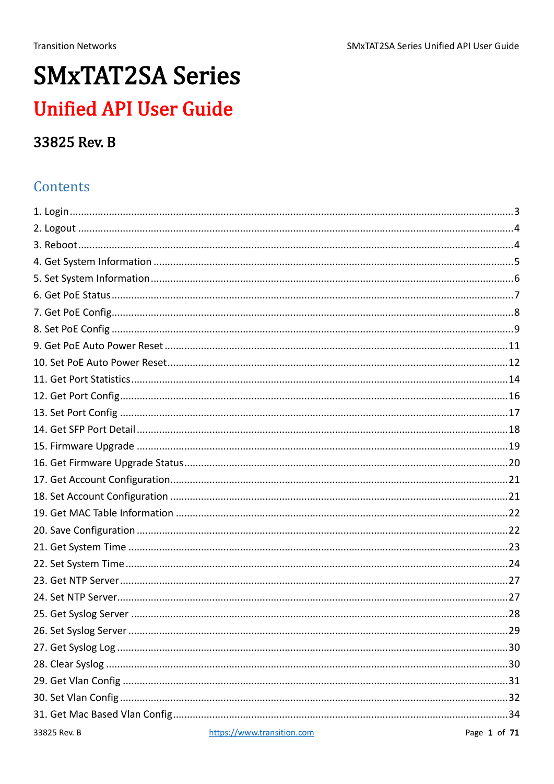# **SMxTAT2SA Series Unified API User Guide**

### 33825 Rev. B

### Contents

| 33825 Rev. B | https://www.transition.com | Page 1 of 71 |
|--------------|----------------------------|--------------|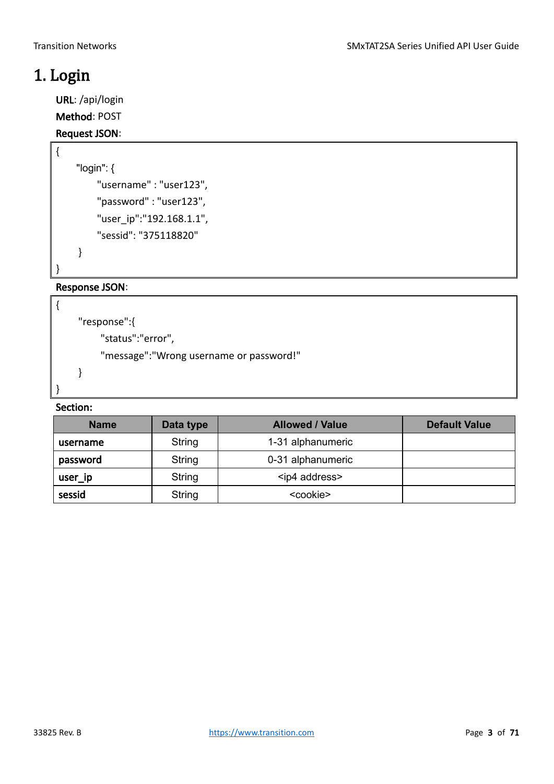### <span id="page-2-0"></span>1. Login

{

}

{

}

URL: /api/login

Method: POST

#### Request JSON:

```
 "login": {
     "username" : "user123",
     "password" : "user123",
     "user_ip":"192.168.1.1",
     "sessid": "375118820"
 }
```
Response JSON:

```
"response":{
    "status":"error",
    "message":"Wrong username or password!"
}
```

| <b>Name</b> | Data type | <b>Allowed / Value</b> | <b>Default Value</b> |
|-------------|-----------|------------------------|----------------------|
| username    | String    | 1-31 alphanumeric      |                      |
| password    | String    | 0-31 alphanumeric      |                      |
| user_ip     | String    | <ip4 address=""></ip4> |                      |
| sessid      | String    | <cookie></cookie>      |                      |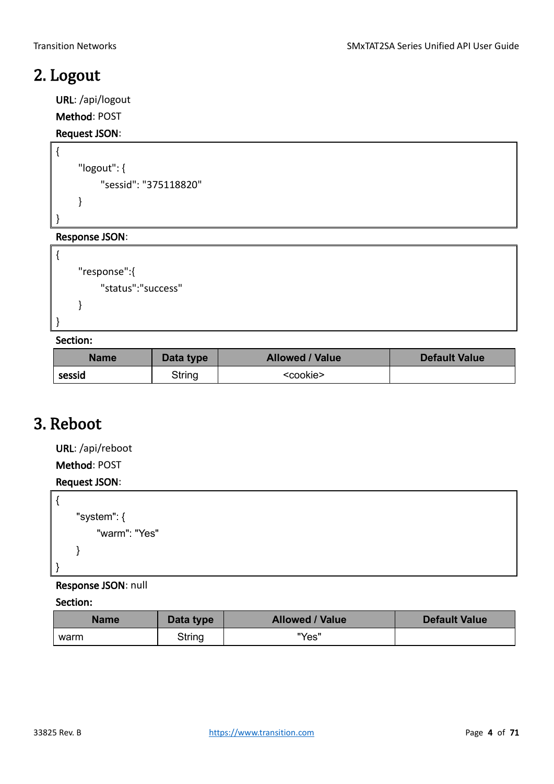### <span id="page-3-0"></span>2. Logout

{

}

{

}

URL: /api/logout

Method: POST

#### Request JSON:

```
"logout": {
    "sessid": "375118820"
}
```
#### Response JSON:

```
"response":{
     "status":"success"
}
```
#### Section:

| <b>Name</b><br>Data type |        | <b>Allowed / Value</b> | <b>Default Value</b> |
|--------------------------|--------|------------------------|----------------------|
| sessid                   | String | <cookie></cookie>      |                      |

### <span id="page-3-1"></span>3. Reboot

URL: /api/reboot

Method: POST

### Request JSON:

```
{
      "system": {
           "warm": "Yes"
      }
}
```
#### Response JSON: null

| <b>Name</b> | Data type | <b>Allowed / Value</b> | <b>Default Value</b> |
|-------------|-----------|------------------------|----------------------|
| warm        | String    | "Yes"                  |                      |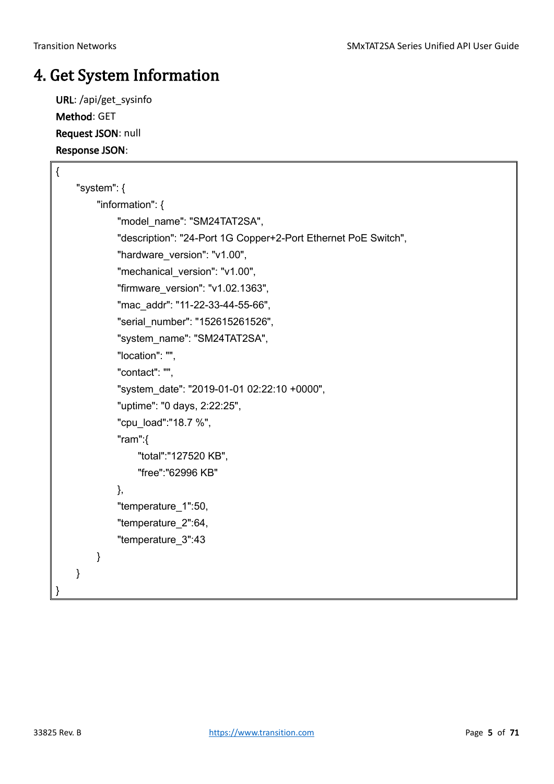### <span id="page-4-0"></span>4. Get System Information

URL: /api/get\_sysinfo Method: GET Request JSON: null Response JSON:

| $\{$ |   |             |                                                                |
|------|---|-------------|----------------------------------------------------------------|
|      |   | "system": { |                                                                |
|      |   |             | "information": {                                               |
|      |   |             | "model_name": "SM24TAT2SA",                                    |
|      |   |             | "description": "24-Port 1G Copper+2-Port Ethernet PoE Switch", |
|      |   |             | "hardware_version": "v1.00",                                   |
|      |   |             | "mechanical_version": "v1.00",                                 |
|      |   |             | "firmware_version": "v1.02.1363",                              |
|      |   |             | "mac_addr": "11-22-33-44-55-66",                               |
|      |   |             | "serial_number": "152615261526",                               |
|      |   |             | "system_name": "SM24TAT2SA",                                   |
|      |   |             | "location": "",                                                |
|      |   |             | "contact": "",                                                 |
|      |   |             | "system_date": "2019-01-01 02:22:10 +0000",                    |
|      |   |             | "uptime": "0 days, 2:22:25",                                   |
|      |   |             | "cpu_load":"18.7 %",                                           |
|      |   |             | "ram": $\{$                                                    |
|      |   |             | "total":"127520 KB",                                           |
|      |   |             | "free":"62996 KB"                                              |
|      |   |             | },                                                             |
|      |   |             | "temperature_1":50,                                            |
|      |   |             | "temperature_2":64,                                            |
|      |   |             | "temperature_3":43                                             |
|      |   | }           |                                                                |
|      | } |             |                                                                |
| }    |   |             |                                                                |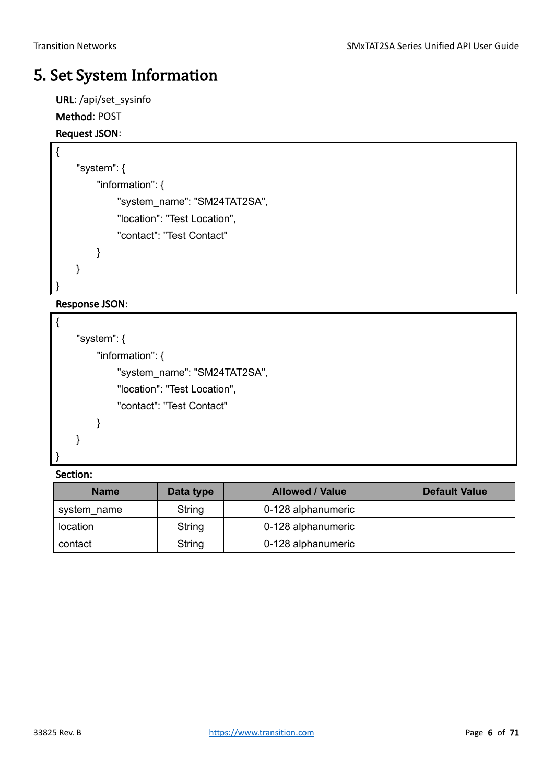### <span id="page-5-0"></span>5. Set System Information

URL: /api/set\_sysinfo Method: POST

#### Request JSON:

```
{
     "system": {
          "information": {
               "system_name": "SM24TAT2SA",
               "location": "Test Location",
               "contact": "Test Contact"
          }
     }
}
```
#### Response JSON:

```
{
     "system": {
          "information": {
               "system_name": "SM24TAT2SA",
               "location": "Test Location",
               "contact": "Test Contact"
          }
     }
}
```

| <b>Name</b> | Data type | <b>Allowed / Value</b> | <b>Default Value</b> |
|-------------|-----------|------------------------|----------------------|
| system name | String    | 0-128 alphanumeric     |                      |
| location    | String    | 0-128 alphanumeric     |                      |
| contact     | String    | 0-128 alphanumeric     |                      |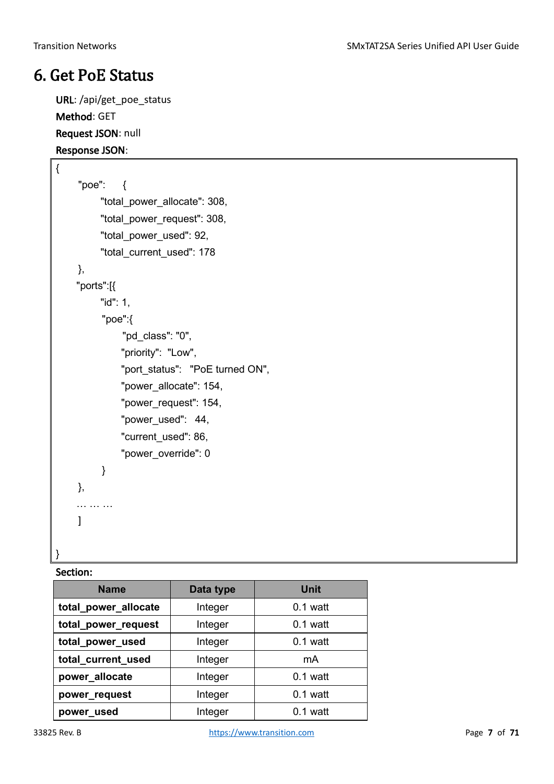### <span id="page-6-0"></span>6. Get PoE Status

URL: /api/get\_poe\_status Method: GET Request JSON: null Response JSON:

```
{
    "poe": {
          "total_power_allocate": 308,
          "total_power_request": 308,
          "total_power_used": 92,
          "total_current_used": 178
    },
     "ports":[{
         "id": 1,
           "poe":{
               "pd_class": "0",
               "priority": "Low",
               "port_status": "PoE turned ON",
               "power_allocate": 154,
              "power_request": 154,
              "power_used": 44,
              "current_used": 86,
              "power_override": 0
           }
    },
    … …
    ]
}
```

| <b>Name</b>          | Data type | Unit       |
|----------------------|-----------|------------|
| total_power_allocate | Integer   | $0.1$ watt |
| total_power_request  | Integer   | $0.1$ watt |
| total_power_used     | Integer   | $0.1$ watt |
| total current used   | Integer   | mA         |
| power_allocate       | Integer   | $0.1$ watt |
| power_request        | Integer   | $0.1$ watt |
| power_used           | Integer   | $0.1$ watt |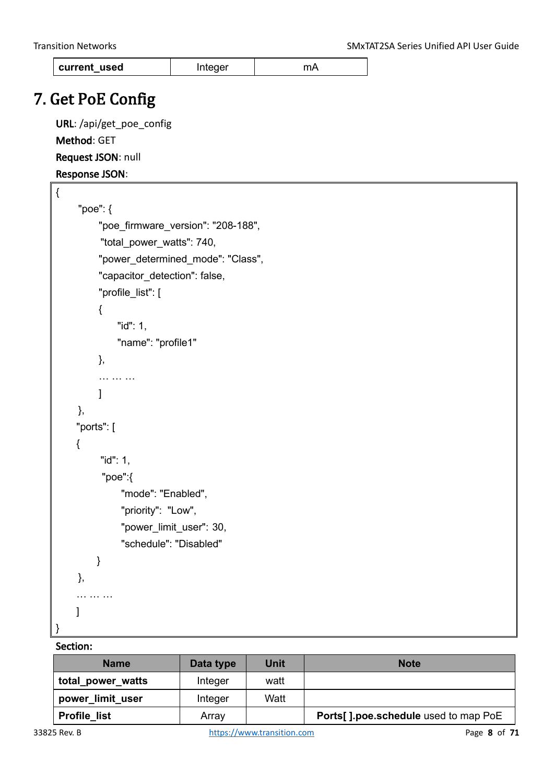| current used | Integer | <b>MA</b> |
|--------------|---------|-----------|
|--------------|---------|-----------|

### <span id="page-7-0"></span>7. Get PoE Config

URL: /api/get\_poe\_config Method: GET Request JSON: null

Response JSON:

```
{
     "poe": {
           "poe_firmware_version": "208-188",
           "total_power_watts": 740,
           "power_determined_mode": "Class",
          "capacitor_detection": false,
           "profile_list": [
           {
               "id": 1,
               "name": "profile1"
           },
           … … …
           ]
     },
     "ports": [
     {
          "id": 1,
            "poe":{
                "mode": "Enabled",
                "priority": "Low",
               "power_limit_user": 30,
                "schedule": "Disabled"
         }
     },
      … … … 
     ]
}
```

| <b>Name</b>         | Data type | Unit | <b>Note</b>                          |
|---------------------|-----------|------|--------------------------------------|
| total power watts   | Integer   | watt |                                      |
| power_limit_user    | Integer   | Watt |                                      |
| <b>Profile list</b> | Array     |      | Ports[].poe.schedule used to map PoE |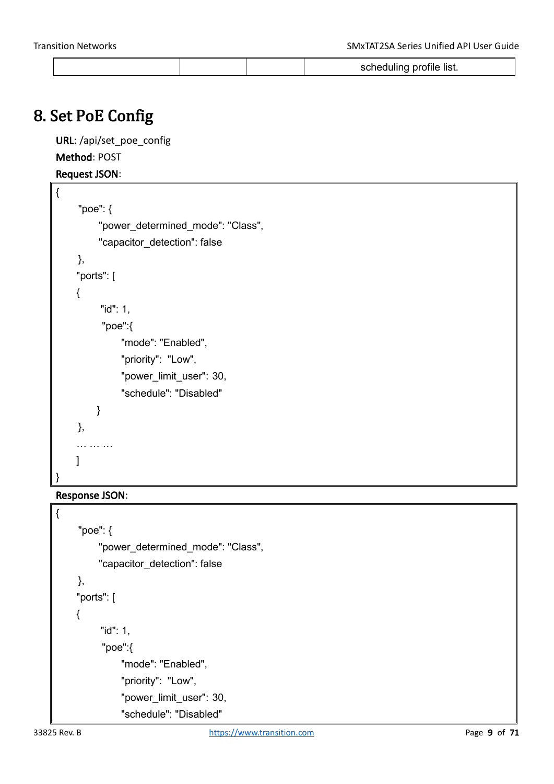|--|

### <span id="page-8-0"></span>8. Set PoE Config

URL: /api/set\_poe\_config Method: POST Request JSON:

```
{
     "poe": {
           "power_determined_mode": "Class",
          "capacitor_detection": false
     },
     "ports": [
     {
          "id": 1,
           "poe":{
                "mode": "Enabled",
                "priority": "Low",
               "power_limit_user": 30,
                "schedule": "Disabled"
         }
     },
    … … …
     ]
}
```
#### Response JSON:

```
{
     "poe": {
           "power_determined_mode": "Class",
          "capacitor_detection": false
     },
     "ports": [
     {
          "id": 1,
           "poe":{
                "mode": "Enabled",
                "priority": "Low",
                "power_limit_user": 30,
                "schedule": "Disabled"
```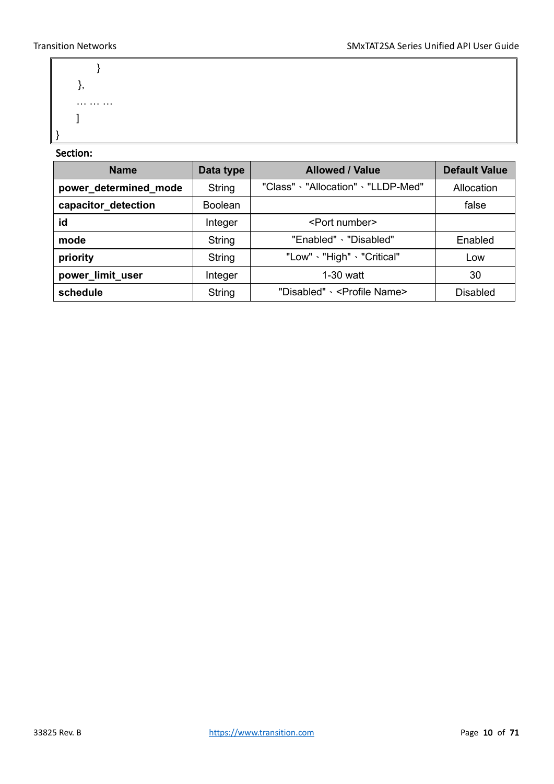```
}
    },
     … … … 
     ]
}
```

| <b>Name</b>           | Data type      | <b>Allowed / Value</b>                   | <b>Default Value</b> |
|-----------------------|----------------|------------------------------------------|----------------------|
| power_determined_mode | String         | "Class" · "Allocation" · "LLDP-Med"      | Allocation           |
| capacitor_detection   | <b>Boolean</b> |                                          | false                |
| id                    | Integer        | <port number=""></port>                  |                      |
| mode                  | String         | "Enabled" \ "Disabled"                   | Enabled              |
| priority              | String         | "Low" 、"High" 、"Critical"                | Low                  |
| power_limit_user      | Integer        | $1-30$ watt                              | 30                   |
| schedule              | String         | "Disabled" \ <profile name=""></profile> | <b>Disabled</b>      |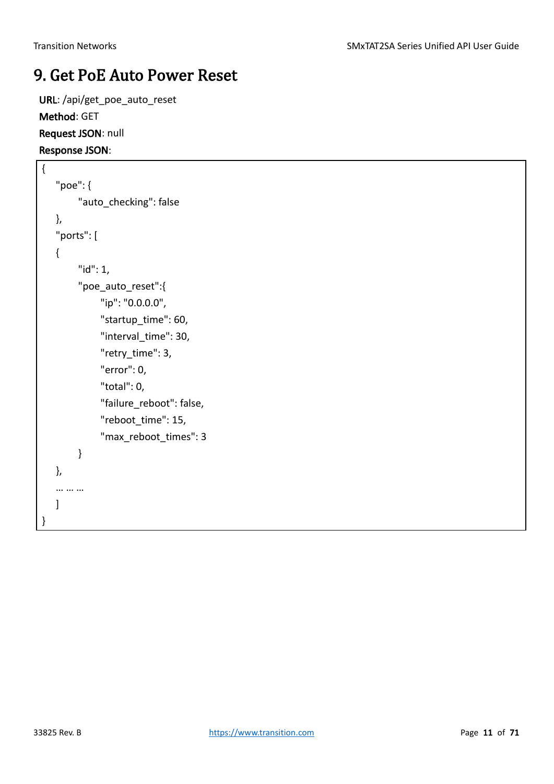### <span id="page-10-0"></span>9. Get PoE Auto Power Reset

URL: /api/get\_poe\_auto\_reset Method: GET Request JSON: null Response JSON:

```
{
   "poe": {
         "auto_checking": false
   },
   "ports": [
   {
          "id": 1,
          "poe_auto_reset":{
               "ip": "0.0.0.0",
               "startup_time": 60,
               "interval_time": 30,
               "retry_time": 3,
               "error": 0,
               "total": 0,
              "failure reboot": false,
               "reboot_time": 15,
               "max_reboot_times": 3
         }
   },
   … … …
   ]
}
```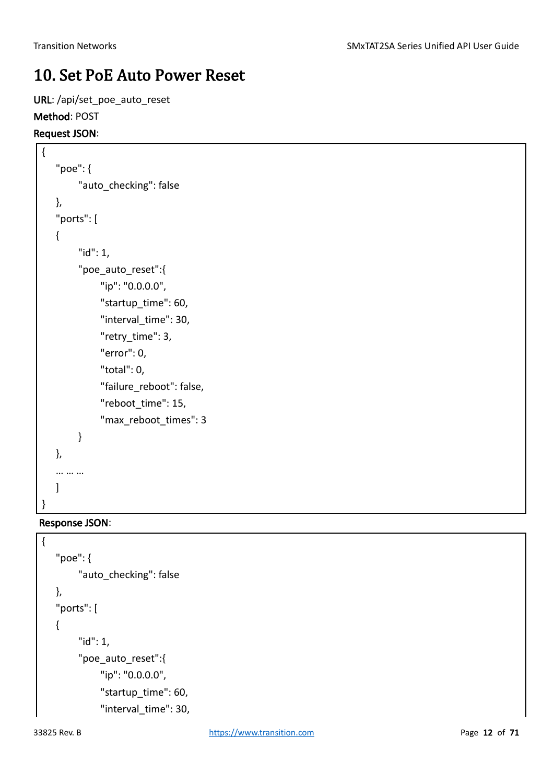### <span id="page-11-0"></span>10. Set PoE Auto Power Reset

URL: /api/set\_poe\_auto\_reset

#### Method: POST

#### Request JSON:

```
{
   "poe": {
         "auto_checking": false
   },
   "ports": [
   {
         "id": 1,
        "poe auto reset":{
               "ip": "0.0.0.0",
              "startup_time": 60,
               "interval_time": 30,
               "retry_time": 3,
               "error": 0,
               "total": 0,
               "failure_reboot": false,
              "reboot_time": 15,
               "max_reboot_times": 3
         }
   },
   … … …
   ]
}
```
#### Response JSON:

{

```
"poe": {
     "auto checking": false
},
"ports": [
{
      "id": 1,
      "poe_auto_reset":{
           "ip": "0.0.0.0",
           "startup_time": 60,
          "interval time": 30,
```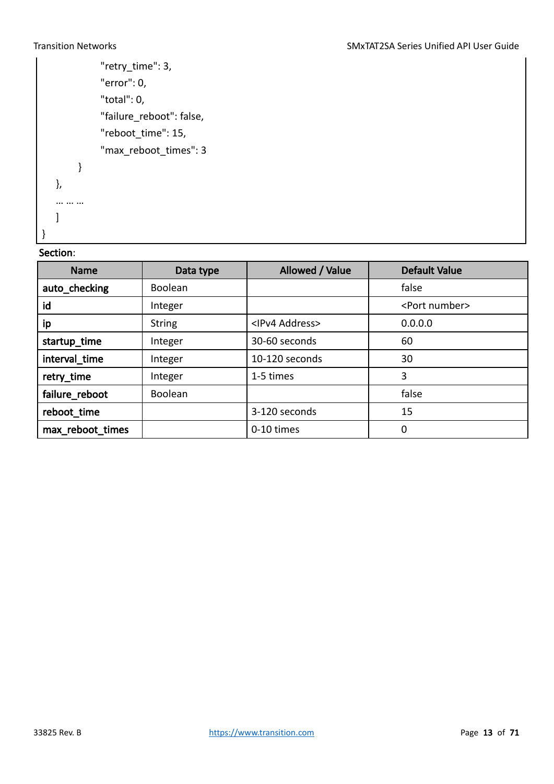```
 "retry_time": 3,
           "error": 0,
           "total": 0,
           "failure_reboot": false,
           "reboot_time": 15,
           "max_reboot_times": 3
     }
},
… … …
]
```
#### Section:

}

| <b>Name</b>      | Data type     | Allowed / Value          | <b>Default Value</b>    |
|------------------|---------------|--------------------------|-------------------------|
| auto_checking    | Boolean       |                          | false                   |
| id               | Integer       |                          | <port number=""></port> |
| ip               | <b>String</b> | <ipv4 address=""></ipv4> | 0.0.0.0                 |
| startup_time     | Integer       | 30-60 seconds            | 60                      |
| interval_time    | Integer       | 10-120 seconds           | 30                      |
| retry_time       | Integer       | 1-5 times                | 3                       |
| failure_reboot   | Boolean       |                          | false                   |
| reboot_time      |               | 3-120 seconds            | 15                      |
| max_reboot_times |               | 0-10 times               | 0                       |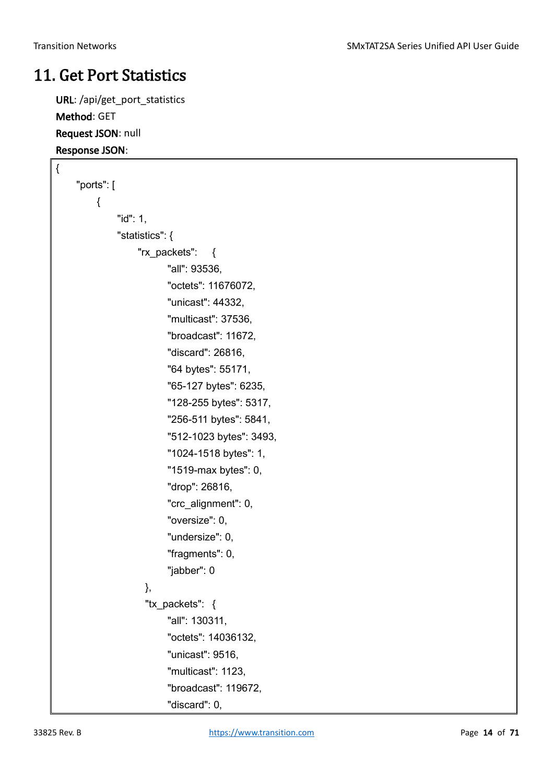### <span id="page-13-0"></span>11. Get Port Statistics

URL: /api/get\_port\_statistics Method: GET Request JSON: null Response JSON:

```
{
    "ports": [
         {
               "id": 1,
               "statistics": {
                   "rx_packets": {
                         "all": 93536,
                         "octets": 11676072,
                         "unicast": 44332,
                         "multicast": 37536,
                         "broadcast": 11672,
                         "discard": 26816,
                         "64 bytes": 55171,
                         "65-127 bytes": 6235,
                         "128-255 bytes": 5317,
                         "256-511 bytes": 5841,
                         "512-1023 bytes": 3493,
                         "1024-1518 bytes": 1,
                         "1519-max bytes": 0,
                         "drop": 26816,
                         "crc_alignment": 0,
                         "oversize": 0,
                         "undersize": 0,
                         "fragments": 0,
                         "jabber": 0
                    },
                    "tx_packets": {
                         "all": 130311,
                         "octets": 14036132,
                         "unicast": 9516,
                         "multicast": 1123,
                         "broadcast": 119672,
                         "discard": 0,
```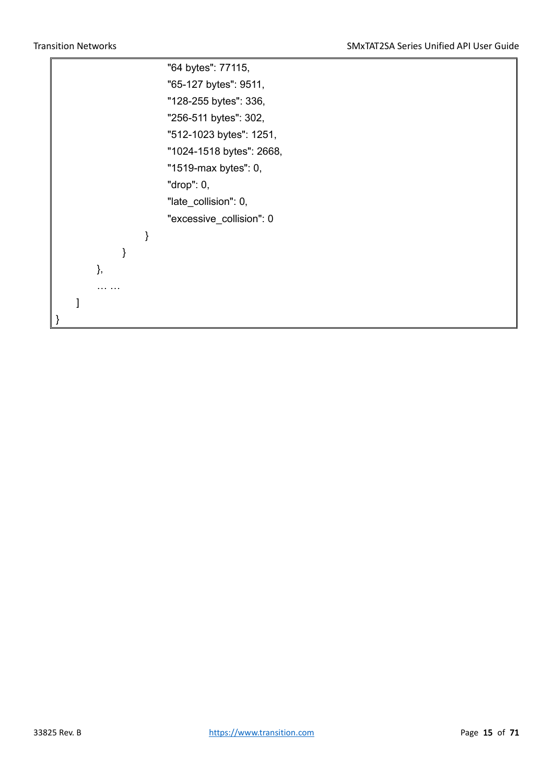ř

|    |  | "64 bytes": 77115,       |
|----|--|--------------------------|
|    |  | "65-127 bytes": 9511,    |
|    |  | "128-255 bytes": 336,    |
|    |  | "256-511 bytes": 302,    |
|    |  | "512-1023 bytes": 1251,  |
|    |  | "1024-1518 bytes": 2668, |
|    |  | "1519-max bytes": 0,     |
|    |  | "drop": $0,$             |
|    |  | "late_collision": 0,     |
|    |  | "excessive_collision": 0 |
|    |  |                          |
|    |  |                          |
| }, |  |                          |
|    |  |                          |
|    |  |                          |
|    |  |                          |
|    |  |                          |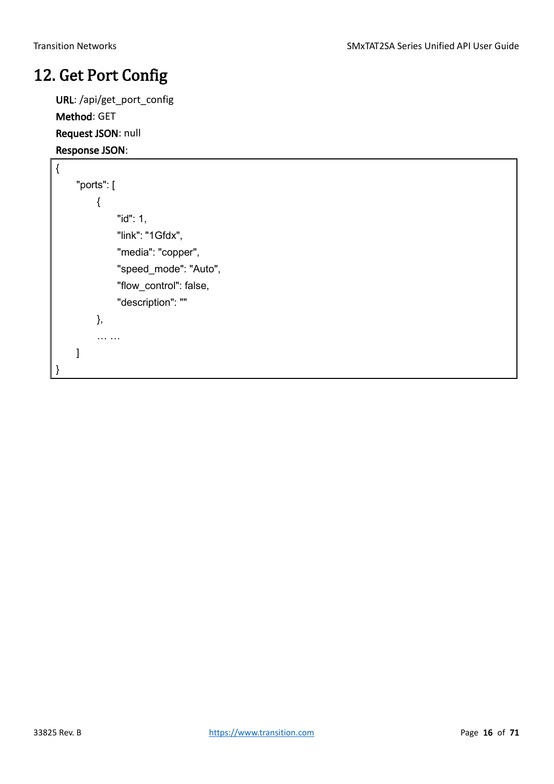### <span id="page-15-0"></span>12. Get Port Config

URL: /api/get\_port\_config Method: GET Request JSON: null Response JSON:

```
{
     "ports": [
          {
                "id": 1,
               "link": "1Gfdx",
                "media": "copper",
                "speed_mode": "Auto",
                "flow_control": false,
                "description": ""
           },
          … …
    ]
}
```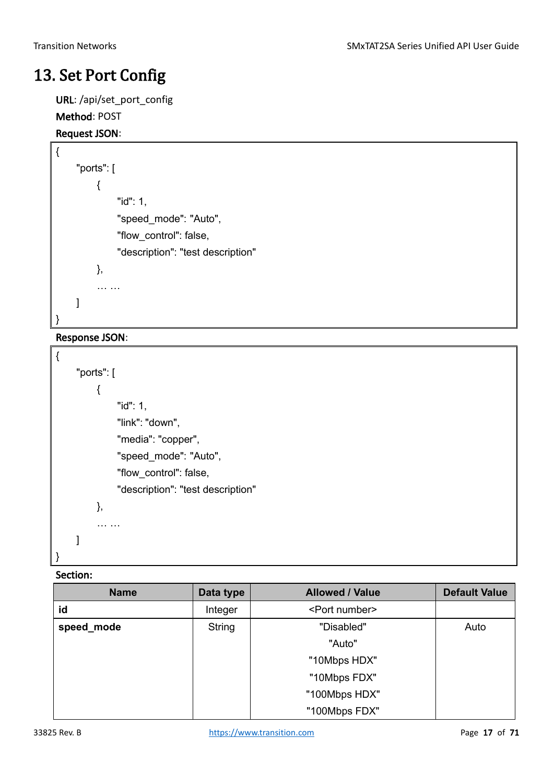### <span id="page-16-0"></span>13. Set Port Config

URL: /api/set\_port\_config

### Method: POST

#### Request JSON:

```
{
     "ports": [
          {
                "id": 1,
                "speed_mode": "Auto",
                "flow_control": false,
                "description": "test description"
           },
          … …
    ]
}
```
#### Response JSON:

```
{
     "ports": [
          {
                "id": 1,
                "link": "down",
                "media": "copper",
                "speed_mode": "Auto",
                "flow_control": false,
                "description": "test description"
           },
          … …
     ]
}
```

| <b>Name</b> | Data type | <b>Allowed / Value</b>  | <b>Default Value</b> |
|-------------|-----------|-------------------------|----------------------|
| id          | Integer   | <port number=""></port> |                      |
| speed_mode  | String    | "Disabled"              | Auto                 |
|             |           | "Auto"                  |                      |
|             |           | "10Mbps HDX"            |                      |
|             |           | "10Mbps FDX"            |                      |
|             |           | "100Mbps HDX"           |                      |
|             |           | "100Mbps FDX"           |                      |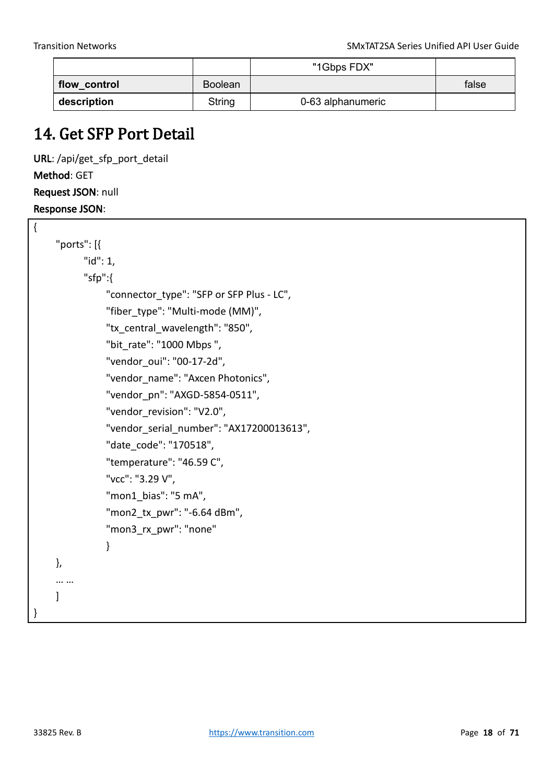$\overline{a}$ 

|              |                | "1Gbps FDX"       |       |
|--------------|----------------|-------------------|-------|
| flow_control | <b>Boolean</b> |                   | false |
| description  | String         | 0-63 alphanumeric |       |

### <span id="page-17-0"></span>14. Get SFP Port Detail

URL: /api/get\_sfp\_port\_detail Method: GET Request JSON: null Response JSON:

| ĺ |              |                                           |
|---|--------------|-------------------------------------------|
|   | "ports": [{  |                                           |
|   | " $id$ ": 1, |                                           |
|   | "sfp": $\{$  |                                           |
|   |              | "connector type": "SFP or SFP Plus - LC", |
|   |              | "fiber type": "Multi-mode (MM)",          |
|   |              | "tx central wavelength": "850",           |
|   |              | "bit rate": "1000 Mbps",                  |
|   |              | "vendor oui": "00-17-2d",                 |
|   |              | "vendor name": "Axcen Photonics",         |
|   |              | "vendor pn": "AXGD-5854-0511",            |
|   |              | "vendor revision": "V2.0",                |
|   |              | "vendor serial number": "AX17200013613",  |
|   |              | "date code": "170518",                    |
|   |              | "temperature": "46.59 C",                 |
|   |              | "vcc": "3.29 V",                          |
|   |              | "mon1 bias": "5 mA",                      |
|   |              | "mon2 tx pwr": "-6.64 dBm",               |
|   |              | "mon3 rx pwr": "none"                     |
|   |              | ł                                         |
|   | },           |                                           |
|   |              |                                           |
|   | 1            |                                           |
| } |              |                                           |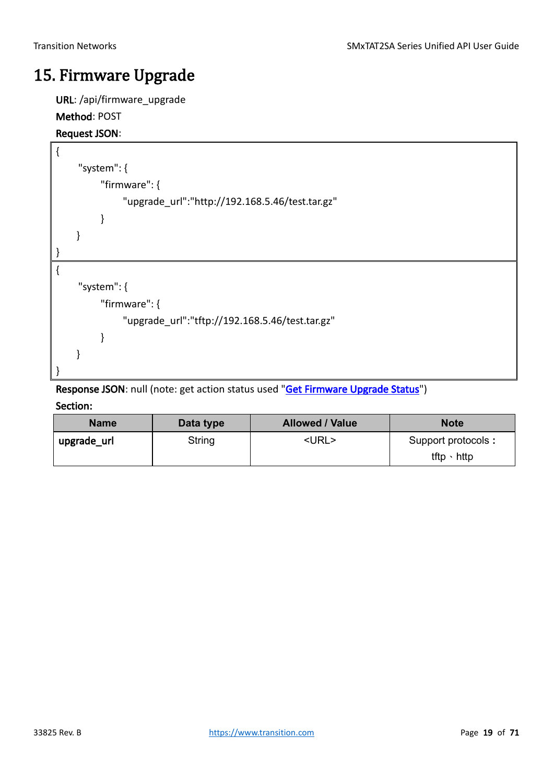### <span id="page-18-0"></span>15. Firmware Upgrade

URL: /api/firmware\_upgrade

#### Method: POST

#### Request JSON:

```
{
     "system": {
          "firmware": {
                "upgrade_url":"http://192.168.5.46/test.tar.gz"
          }
     }
}
{
     "system": {
          "firmware": {
                "upgrade_url":"tftp://192.168.5.46/test.tar.gz"
          }
     }
}
```
Response JSON: null (note: get action status used ["Get Firmware Upgrade Status"](#page-18-1))

<span id="page-18-1"></span>

| <b>Name</b> | Data type | <b>Allowed / Value</b> | <b>Note</b>        |
|-------------|-----------|------------------------|--------------------|
| upgrade_url | String    | <url></url>            | Support protocols: |
|             |           |                        | tftp $\cdot$ http  |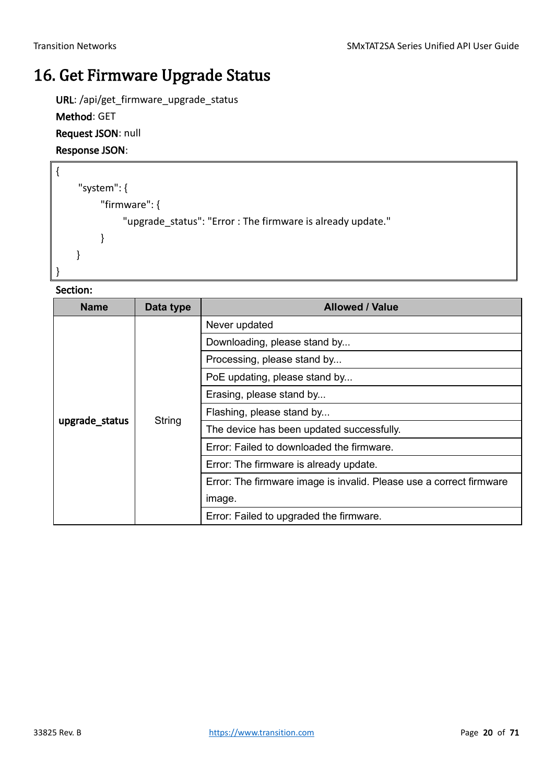### <span id="page-19-0"></span>16. Get Firmware Upgrade Status

URL: /api/get\_firmware\_upgrade\_status

Method: GET

Request JSON: null

Response JSON:

{

}

```
"system": {
     "firmware": {
          "upgrade_status": "Error : The firmware is already update."
     }
 }
```

| <b>Name</b>    | Data type | <b>Allowed / Value</b>                                              |
|----------------|-----------|---------------------------------------------------------------------|
|                |           | Never updated                                                       |
|                |           | Downloading, please stand by                                        |
|                |           | Processing, please stand by                                         |
|                |           | PoE updating, please stand by                                       |
|                | String    | Erasing, please stand by                                            |
|                |           | Flashing, please stand by                                           |
| upgrade_status |           | The device has been updated successfully.                           |
|                |           | Error: Failed to downloaded the firmware.                           |
|                |           | Error: The firmware is already update.                              |
|                |           | Error: The firmware image is invalid. Please use a correct firmware |
|                |           | image.                                                              |
|                |           | Error: Failed to upgraded the firmware.                             |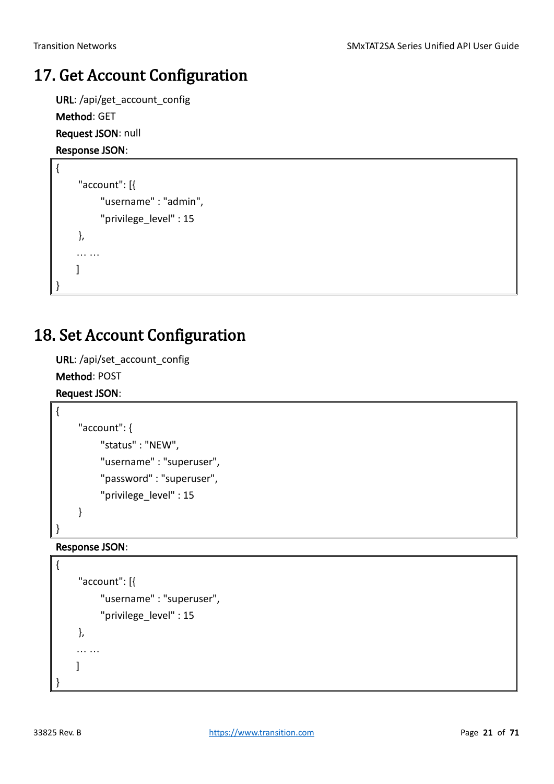### <span id="page-20-0"></span>17. Get Account Configuration

URL: /api/get\_account\_config Method: GET Request JSON: null

#### Response JSON:

```
{
     "account": [{
          "username" : "admin",
          "privilege_level" : 15
    },
    … …
    ]
}
```
### <span id="page-20-1"></span>18. Set Account Configuration

URL: /api/set\_account\_config

Method: POST

Request JSON:

{

}

```
"account": {
     "status" : "NEW",
     "username" : "superuser",
     "password" : "superuser",
      "privilege_level" : 15
}
```
#### Response JSON:

```
{
    "account": [{
          "username" : "superuser",
          "privilege_level" : 15
    },
    … …
    ]
}
```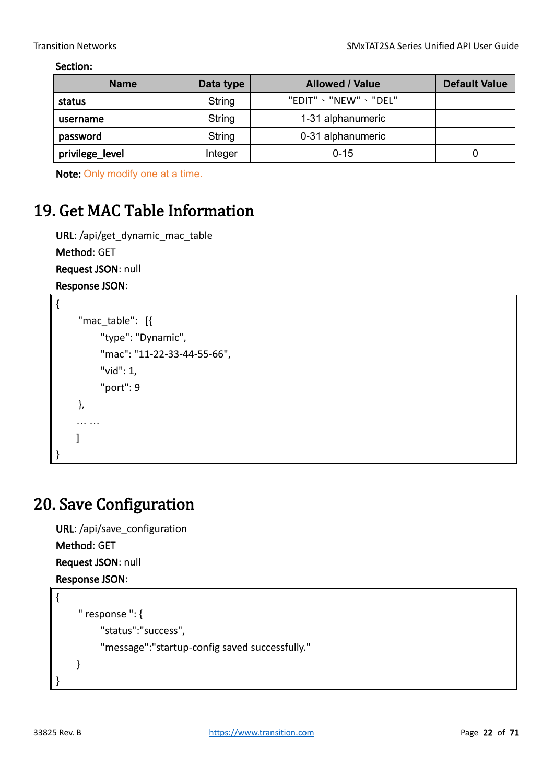#### Section:

| <b>Name</b>     | Data type | <b>Allowed / Value</b> | <b>Default Value</b> |
|-----------------|-----------|------------------------|----------------------|
| status          | String    | "EDIT" 、"NEW" 、"DEL"   |                      |
| username        | String    | 1-31 alphanumeric      |                      |
| password        | String    | 0-31 alphanumeric      |                      |
| privilege_level | Integer   | $0 - 15$               | 0                    |

Note: Only modify one at a time.

### <span id="page-21-0"></span>19. Get MAC Table Information

URL: /api/get\_dynamic\_mac\_table

Method: GET

Request JSON: null

Response JSON:

```
{
     "mac_table": [{
         "type": "Dynamic",
          "mac": "11-22-33-44-55-66",
          "vid": 1,
          "port": 9
    },
    … …
    ]
}
```
### <span id="page-21-1"></span>20. Save Configuration

URL: /api/save configuration Method: GET Request JSON: null Response JSON: {

```
" response ": {
           "status":"success",
          "message":"startup-config saved successfully."
     }
}
```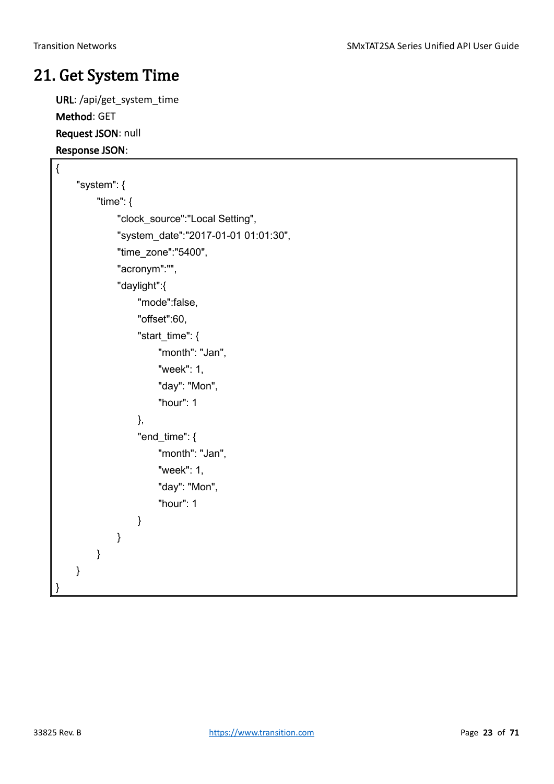### <span id="page-22-0"></span>21. Get System Time

URL: /api/get\_system\_time Method: GET Request JSON: null Response JSON:

```
{
     "system": {
          "time": {
              "clock_source":"Local Setting",
              "system_date":"2017-01-01 01:01:30",
              "time_zone":"5400",
              "acronym":"",
              "daylight":{
                  "mode":false,
                  "offset":60,
                  "start_time": {
                       "month": "Jan",
                       "week": 1,
                       "day": "Mon",
                       "hour": 1
                  },
                  "end_time": \{"month": "Jan",
                       "week": 1,
                       "day": "Mon",
                       "hour": 1
                  }
              }
         }
    }
}
```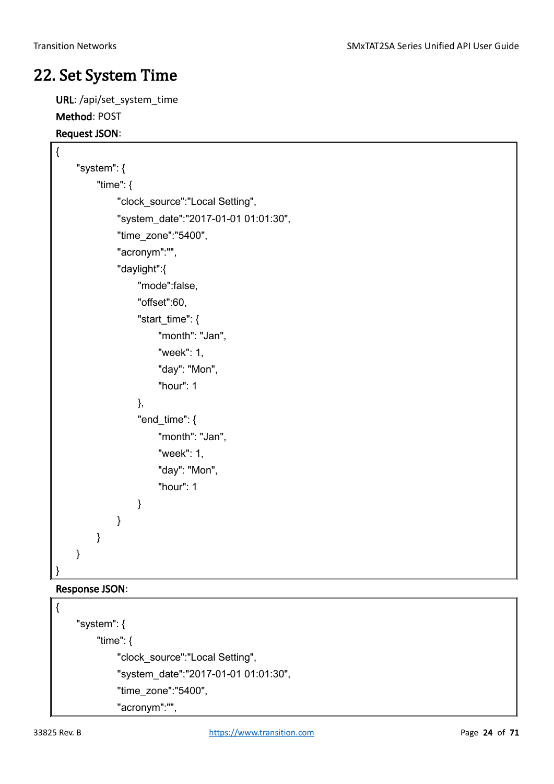### <span id="page-23-0"></span>22. Set System Time

URL: /api/set\_system\_time Method: POST

#### Request JSON:

```
{
     "system": {
          "time": {
              "clock_source":"Local Setting",
              "system_date":"2017-01-01 01:01:30",
              "time_zone":"5400",
              "acronym":"",
              "daylight":{
                  "mode":false,
                  "offset":60,
                   "start_time": {
                       "month": "Jan",
                       "week": 1,
                       "day": "Mon",
                       "hour": 1
                  },
                  "end_time": {
                       "month": "Jan",
                       "week": 1,
                       "day": "Mon",
                       "hour": 1
                  }
              }
         }
    }
}
```
#### Response JSON:

```
{
     "system": {
          "time": {
             "clock_source":"Local Setting",
              "system_date":"2017-01-01 01:01:30",
             "time_zone":"5400",
             "acronym":"",
```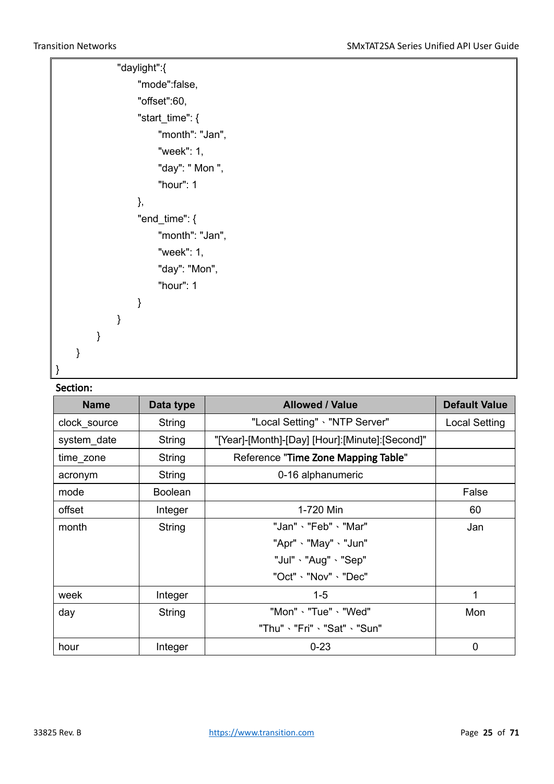| "daylight":{     |
|------------------|
| "mode":false,    |
| "offset":60,     |
| "start_time": {  |
| "month": "Jan",  |
| "week": 1,       |
| "day": " Mon ",  |
| "hour": 1        |
| },               |
| "end_time": $\{$ |
| "month": "Jan",  |
| "week": 1,       |
| "day": "Mon",    |
| "hour": 1        |
|                  |
|                  |
|                  |
|                  |
|                  |

| <b>Name</b>  | Data type      | <b>Allowed / Value</b>                          | <b>Default Value</b> |
|--------------|----------------|-------------------------------------------------|----------------------|
| clock_source | String         | "Local Setting" · "NTP Server"                  | Local Setting        |
| system date  | String         | "[Year]-[Month]-[Day] [Hour]:[Minute]:[Second]" |                      |
| time_zone    | String         | Reference "Time Zone Mapping Table"             |                      |
| acronym      | String         | 0-16 alphanumeric                               |                      |
| mode         | <b>Boolean</b> |                                                 | False                |
| offset       | Integer        | 1-720 Min                                       | 60                   |
| month        | String         | "Jan"、"Feb"、"Mar"                               | Jan                  |
|              |                | "Apr" 、"May" 、"Jun"                             |                      |
|              |                | "Jul"、"Aug"、"Sep"                               |                      |
|              |                | "Oct"、"Nov"、"Dec"                               |                      |
| week         | Integer        | $1 - 5$                                         | 1                    |
| day          | String         | "Mon"、"Tue"、"Wed"                               | Mon                  |
|              |                | "Thu"、"Fri"、"Sat"、"Sun"                         |                      |
| hour         | Integer        | $0 - 23$                                        | $\overline{0}$       |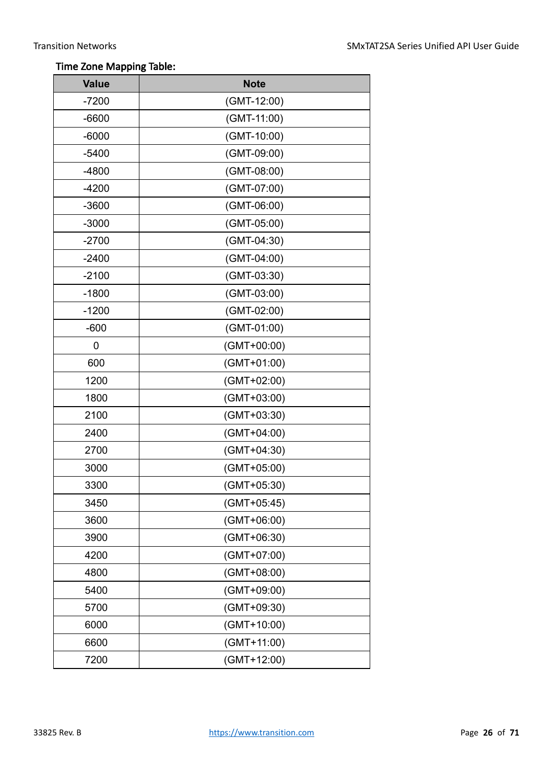#### Time Zone Mapping Table:

| <b>Value</b> | <b>Note</b>   |
|--------------|---------------|
| $-7200$      | (GMT-12:00)   |
| $-6600$      | $(GMT-11:00)$ |
| $-6000$      | (GMT-10:00)   |
| $-5400$      | (GMT-09:00)   |
| $-4800$      | (GMT-08:00)   |
| $-4200$      | (GMT-07:00)   |
| $-3600$      | (GMT-06:00)   |
| $-3000$      | (GMT-05:00)   |
| $-2700$      | (GMT-04:30)   |
| $-2400$      | (GMT-04:00)   |
| $-2100$      | (GMT-03:30)   |
| $-1800$      | (GMT-03:00)   |
| $-1200$      | (GMT-02:00)   |
| $-600$       | (GMT-01:00)   |
| 0            | $(GMT+00:00)$ |
| 600          | $(GMT+01:00)$ |
| 1200         | $(GMT+02:00)$ |
| 1800         | $(GMT+03:00)$ |
| 2100         | $(GMT+03:30)$ |
| 2400         | $(GMT+04:00)$ |
| 2700         | $(GMT+04:30)$ |
| 3000         | $(GMT+05:00)$ |
| 3300         | (GMT+05:30)   |
| 3450         | (GMT+05:45)   |
| 3600         | $(GMT+06:00)$ |
| 3900         | $(GMT+06:30)$ |
| 4200         | $(GMT+07:00)$ |
| 4800         | $(GMT+08:00)$ |
| 5400         | $(GMT+09:00)$ |
| 5700         | $(GMT+09:30)$ |
| 6000         | $(GMT+10:00)$ |
| 6600         | $(GMT+11:00)$ |
| 7200         | $(GMT+12:00)$ |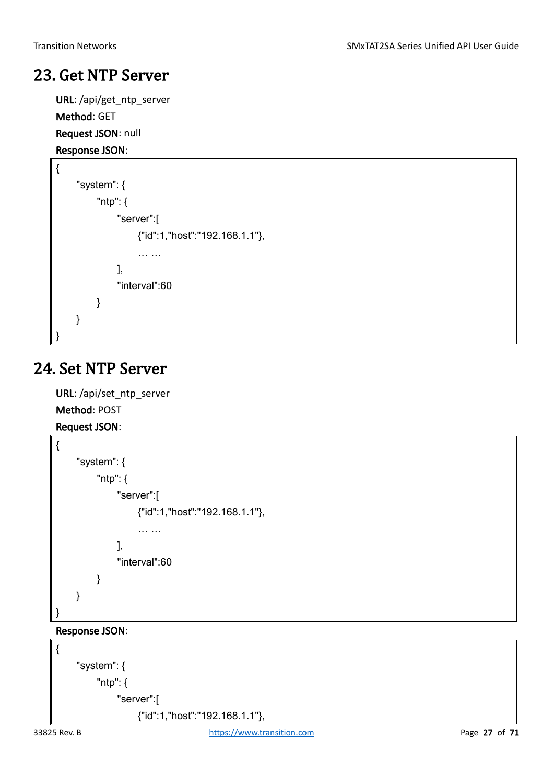### <span id="page-26-0"></span>23. Get NTP Server

URL: /api/get\_ntp\_server Method: GET

Request JSON: null

```
Response JSON:
```

```
{
     "system": {
         "ntp": {
              "server":[
                   {"id":1,"host":"192.168.1.1"},
                   … …
              ],
               "interval":60
         }
    }
}
```
### <span id="page-26-1"></span>24. Set NTP Server

URL: /api/set\_ntp\_server Method: POST

```
Request JSON:
```

```
{
     "system": {
         "ntp": {
               "server":[
                   {"id":1,"host":"192.168.1.1"},
                    … …
              ],
               "interval":60
         }
    }
}
```
### Response JSON:

```
{
     "system": {
         "ntp": {
              "server":[
                   {"id":1,"host":"192.168.1.1"},
```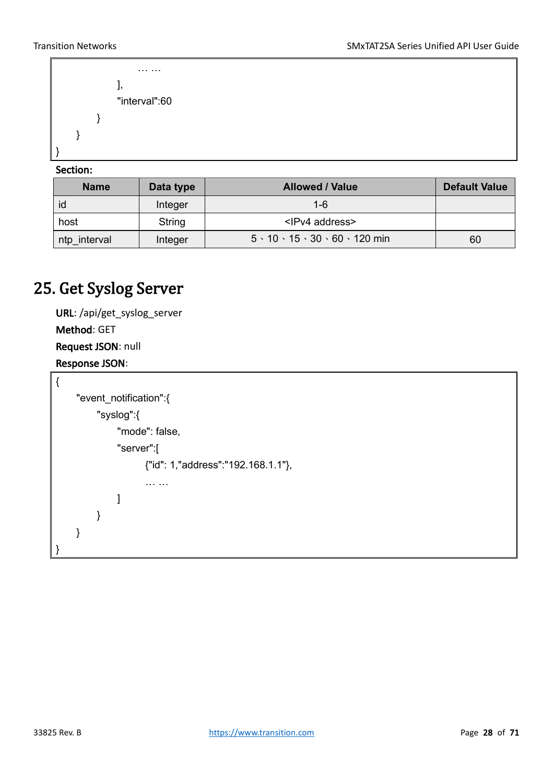```
… …
              ],
              "interval":60
         }
    }
}
```
#### Section:

| <b>Name</b>  | Data type | <b>Allowed / Value</b>                                | <b>Default Value</b> |
|--------------|-----------|-------------------------------------------------------|----------------------|
| id           | Integer   | $1 - 6$                                               |                      |
| host         | String    | <ipv4 address=""></ipv4>                              |                      |
| ntp_interval | Integer   | $5 \cdot 10 \cdot 15 \cdot 30 \cdot 60 \cdot 120$ min | 60                   |

### <span id="page-27-0"></span>25. Get Syslog Server

```
URL: /api/get_syslog_server
Method: GET
Request JSON: null
Response JSON:
```

```
{
    "event_notification":{
         "syslog":{
              "mode": false,
              "server":[
                    {"id": 1,"address":"192.168.1.1"},
                    … …
             ]
         }
    }
}
```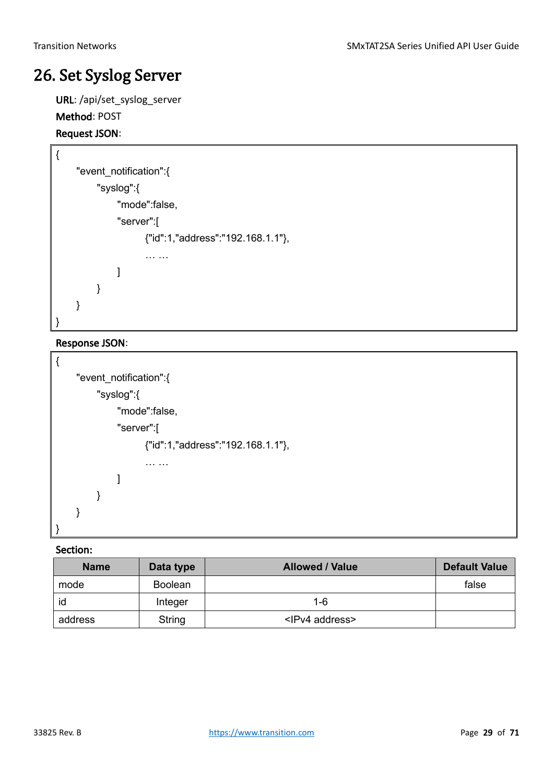### <span id="page-28-0"></span>26. Set Syslog Server

URL: /api/set\_syslog\_server Method: POST

#### Request JSON:

```
{
    "event_notification":{
         "syslog":{
              "mode":false,
              "server":[
                    {"id":1,"address":"192.168.1.1"},
                    … …
              ]
         }
    }
}
```
#### Response JSON:

```
{
    "event_notification":{
         "syslog":{
              "mode":false,
              "server":[
                    {"id":1,"address":"192.168.1.1"},
                    … …
              ]
         }
    }
}
```

| <b>Name</b> | Data type      | <b>Allowed / Value</b>   | <b>Default Value</b> |
|-------------|----------------|--------------------------|----------------------|
| mode        | <b>Boolean</b> |                          | false                |
| id          | Integer        | $1 - 6$                  |                      |
| address     | String         | <ipv4 address=""></ipv4> |                      |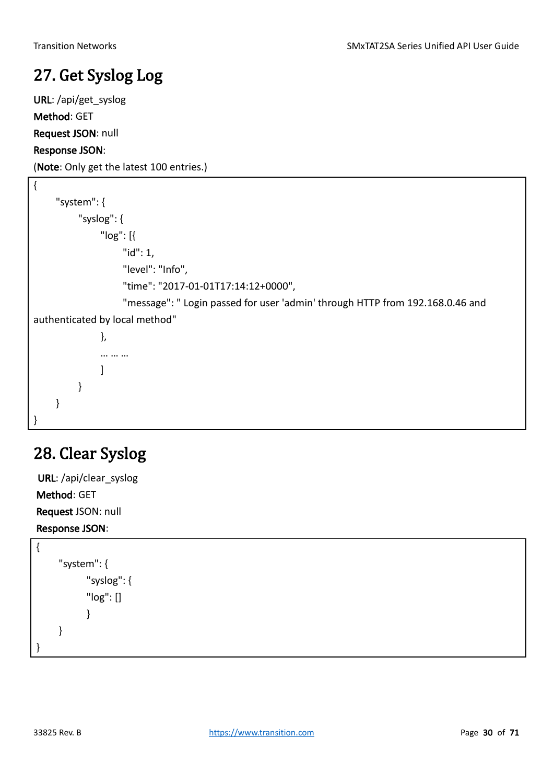### <span id="page-29-0"></span>27. Get Syslog Log

URL: /api/get\_syslog Method: GET Request JSON: null Response JSON:

(Note: Only get the latest 100 entries.)

| "system": $\{$                                                                |
|-------------------------------------------------------------------------------|
| "syslog": {                                                                   |
| " $log"$ : [{                                                                 |
| " $id$ ": 1,                                                                  |
| "level": "Info",                                                              |
| "time": "2017-01-01T17:14:12+0000",                                           |
| "message": " Login passed for user 'admin' through HTTP from 192.168.0.46 and |
| authenticated by local method"                                                |
| },                                                                            |
|                                                                               |
|                                                                               |
|                                                                               |
|                                                                               |
|                                                                               |

## <span id="page-29-1"></span>28. Clear Syslog

URL: /api/clear\_syslog Method: GET Request JSON: null Response JSON:

{ "system": { "syslog": { "log": [] } } }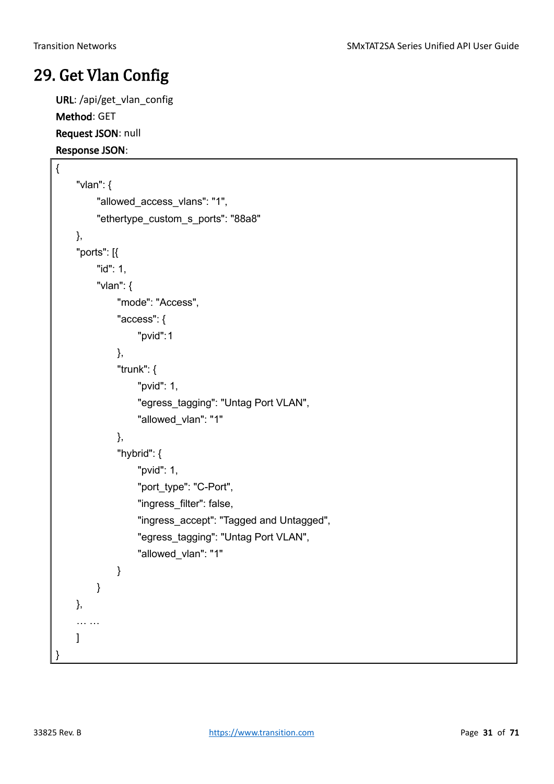### <span id="page-30-0"></span>29. Get Vlan Config

URL: /api/get\_vlan\_config Method: GET Request JSON: null Response JSON:

```
{
    "vlan": {
         "allowed_access_vlans": "1",
         "ethertype_custom_s_ports": "88a8"
    },
    "ports": [{
         "id": 1,
         "vlan": {
              "mode": "Access",
              "access": {
                  "pvid":1
             },
              "trunk": {
                  "pvid": 1,
                  "egress_tagging": "Untag Port VLAN",
                  "allowed_vlan": "1"
             },
             "hybrid": {
                  "pvid": 1,
                  "port_type": "C-Port",
                  "ingress_filter": false,
                  "ingress_accept": "Tagged and Untagged",
                  "egress_tagging": "Untag Port VLAN",
                  "allowed_vlan": "1"
             }
         }
    },
    … …
    ]
}
```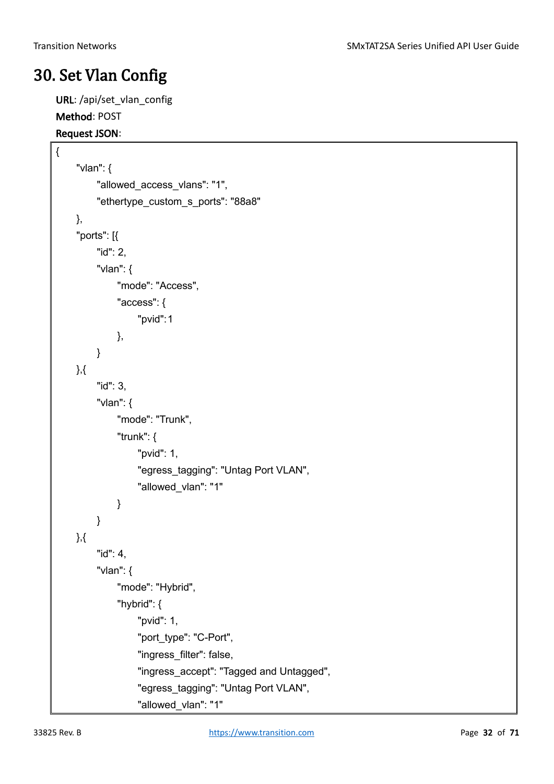### <span id="page-31-0"></span>30. Set Vlan Config

URL: /api/set\_vlan\_config Method: POST

#### Request JSON:

{

```
"vlan": {
    "allowed_access_vlans": "1",
    "ethertype_custom_s_ports": "88a8"
},
"ports": [{
    "id": 2,
    "vlan": {
         "mode": "Access",
         "access": {
              "pvid":1
         },
    }
},{
    "id": 3,
    "vlan": {
         "mode": "Trunk",
         "trunk": {
              "pvid": 1,
              "egress_tagging": "Untag Port VLAN",
              "allowed_vlan": "1"
         }
    }
},{
    "id": 4,
    "vlan": {
         "mode": "Hybrid",
         "hybrid": {
              "pvid": 1,
              "port_type": "C-Port",
              "ingress_filter": false,
              "ingress_accept": "Tagged and Untagged",
              "egress_tagging": "Untag Port VLAN",
              "allowed_vlan": "1"
```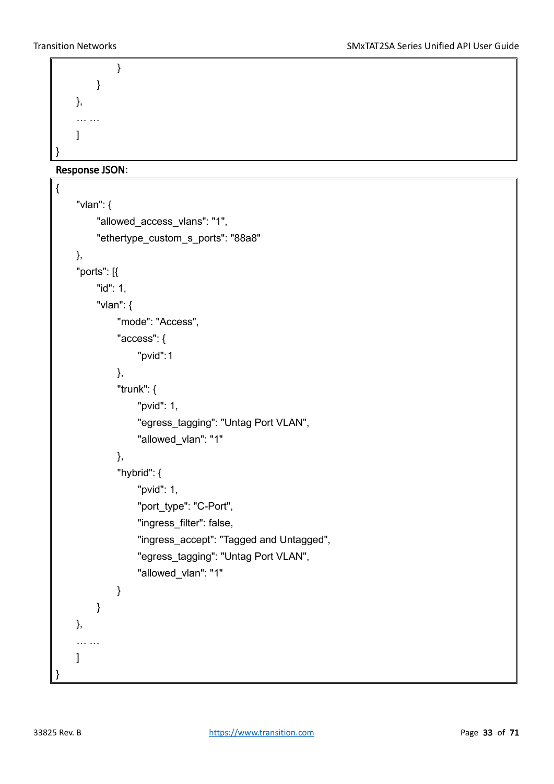```
}
        }
    },
    … …
    ]
}
```
Response JSON:

```
{
    "vlan": {
         "allowed access vlans": "1",
         "ethertype_custom_s_ports": "88a8"
    },
    "ports": [{
         "id": 1,
         "vlan": {
              "mode": "Access",
              "access": {
                  "pvid":1
             },
              "trunk": {
                  "pvid": 1,
                  "egress_tagging": "Untag Port VLAN",
                  "allowed_vlan": "1"
             },
              "hybrid": {
                  "pvid": 1,
                  "port_type": "C-Port",
                  "ingress_filter": false,
                  "ingress_accept": "Tagged and Untagged",
                  "egress_tagging": "Untag Port VLAN",
                  "allowed_vlan": "1"
             }
        }
    },
    … …
    ]
}
```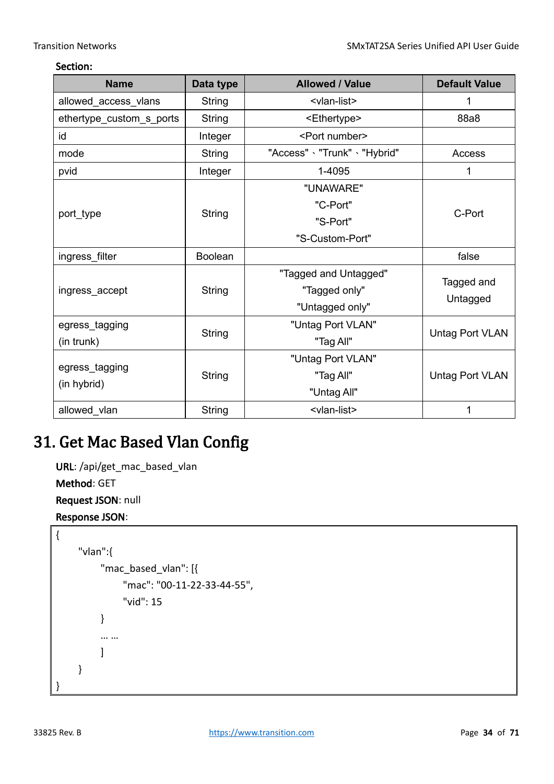#### Section:

| <b>Name</b>              | <b>Allowed / Value</b><br>Data type |                               | <b>Default Value</b>   |  |
|--------------------------|-------------------------------------|-------------------------------|------------------------|--|
| allowed_access_vlans     | String                              | <vlan-list></vlan-list>       | 1                      |  |
| ethertype_custom_s_ports | <b>String</b>                       | <ethertype></ethertype>       | 88a8                   |  |
| id                       | Integer                             | <port number=""></port>       |                        |  |
| mode                     | String                              | "Access" > "Trunk" > "Hybrid" | Access                 |  |
| pvid                     | Integer                             | 1-4095                        | 1                      |  |
|                          |                                     | "UNAWARE"                     |                        |  |
|                          |                                     | "C-Port"                      |                        |  |
| port_type                | <b>String</b>                       | "S-Port"                      | C-Port                 |  |
|                          |                                     | "S-Custom-Port"               |                        |  |
| ingress_filter           | <b>Boolean</b>                      |                               | false                  |  |
|                          |                                     | "Tagged and Untagged"         |                        |  |
| ingress_accept           | <b>String</b>                       | "Tagged only"                 | Tagged and<br>Untagged |  |
|                          |                                     | "Untagged only"               |                        |  |
| egress_tagging           |                                     | "Untag Port VLAN"             |                        |  |
| (in trunk)               | <b>String</b>                       | "Tag All"                     | Untag Port VLAN        |  |
|                          |                                     | "Untag Port VLAN"             |                        |  |
| egress_tagging           | String                              | "Tag All"                     | <b>Untag Port VLAN</b> |  |
| (in hybrid)              |                                     | "Untag All"                   |                        |  |
| allowed_vlan             | String                              | <vlan-list></vlan-list>       | 1                      |  |

### <span id="page-33-0"></span>31. Get Mac Based Vlan Config

URL: /api/get\_mac\_based\_vlan Method: GET

Request JSON: null

Response JSON:

```
{
    "vlan":{
         "mac_based_vlan": [{
              "mac": "00-11-22-33-44-55",
              "vid": 15
         }
         … …
         ]
    }
}
```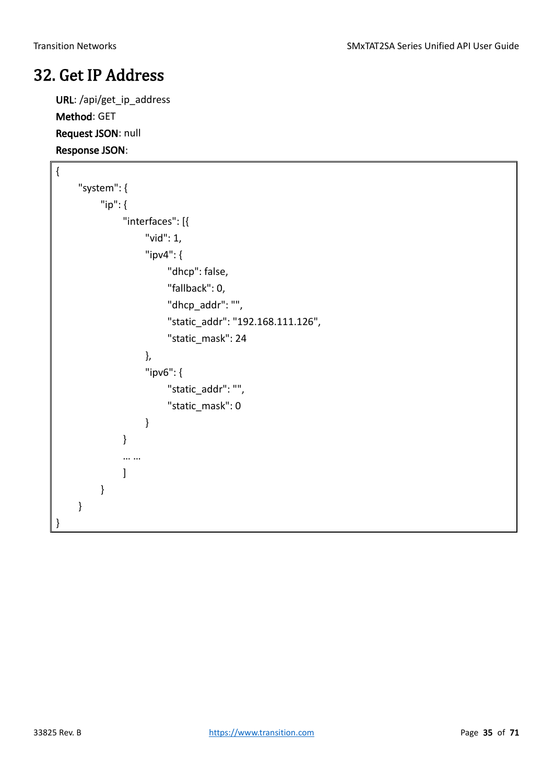### <span id="page-34-0"></span>32. Get IP Address

URL: /api/get\_ip\_address Method: GET Request JSON: null Response JSON:

```
{
     "system": {
          "ip": {
               "interfaces": [{
                     "vid": 1,
                    "ipv4": {
                         "dhcp": false,
                          "fallback": 0,
                         "dhcp_addr": "",
                          "static_addr": "192.168.111.126",
                          "static_mask": 24
                    },
                    "ipv6": {
                          "static_addr": "",
                          "static_mask": 0
                    }
               }
               … …
               ]
          }
     }
}
```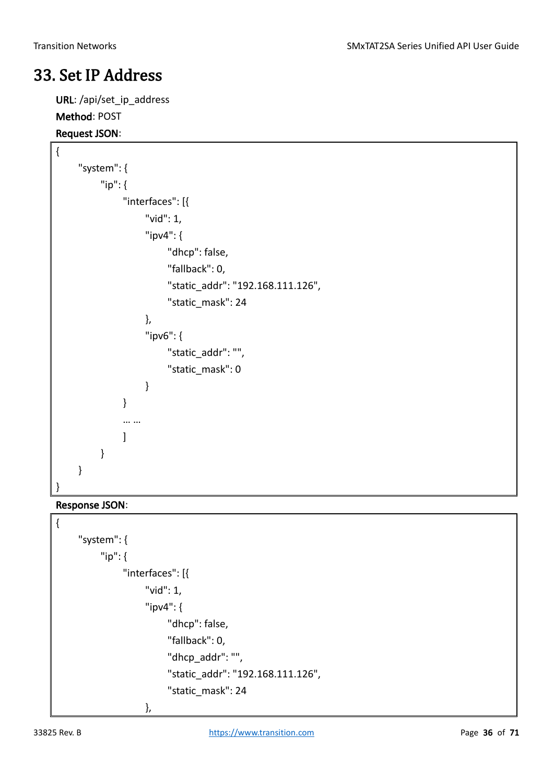### <span id="page-35-0"></span>33. Set IP Address

URL: /api/set\_ip\_address Method: POST

#### Request JSON:

{

```
"system": {
          "ip": {
               "interfaces": [{
                    "vid": 1,
                    "ipv4": {
                          "dhcp": false,
                         "fallback": 0,
                          "static_addr": "192.168.111.126",
                          "static_mask": 24
                    },
                    "ipv6": {
                         "static_addr": "",
                          "static_mask": 0
                    }
               }
               … …
               ]
          }
    }
}
```
#### Response JSON:

```
{
     "system": {
          "ip": {
               "interfaces": [{
                    "vid": 1,
                    "ipv4": {
                         "dhcp": false,
                          "fallback": 0,
                         "dhcp_addr": "",
                          "static_addr": "192.168.111.126",
                         "static_mask": 24
                    },
```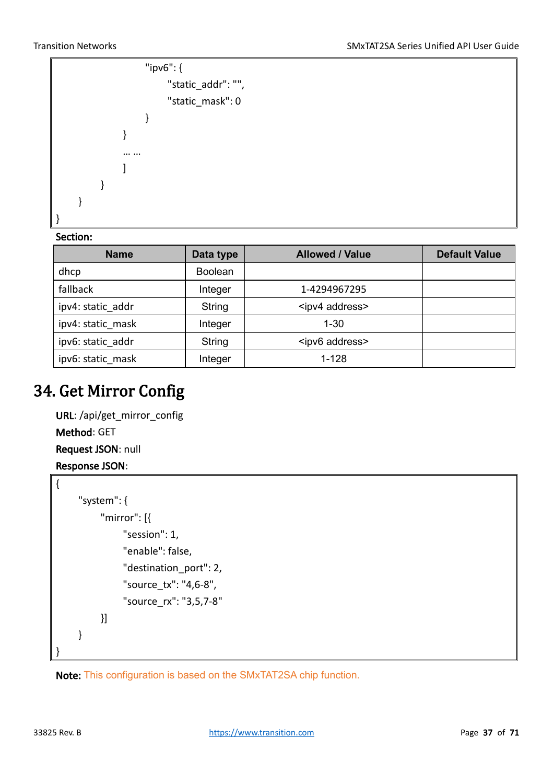

#### Section:

| <b>Name</b>       | Data type      | <b>Allowed / Value</b>   | <b>Default Value</b> |
|-------------------|----------------|--------------------------|----------------------|
| dhcp              | <b>Boolean</b> |                          |                      |
| fallback          | Integer        | 1-4294967295             |                      |
| ipv4: static addr | String         | <ipv4 address=""></ipv4> |                      |
| ipv4: static mask | Integer        | $1 - 30$                 |                      |
| ipv6: static addr | String         | <ipv6 address=""></ipv6> |                      |
| ipv6: static mask | Integer        | $1 - 128$                |                      |

### <span id="page-36-0"></span>34. Get Mirror Config

```
URL: /api/get_mirror_config
Method: GET
Request JSON: null
Response JSON:
```

```
{
      "system": {
            "mirror": [{
                 "session": 1,
                 "enable": false,
                 "destination_port": 2,
                 "source_tx": "4,6-8",
                 "source_rx": "3,5,7-8"
            }]
      }
}
```
Note: This configuration is based on the SMxTAT2SA chip function.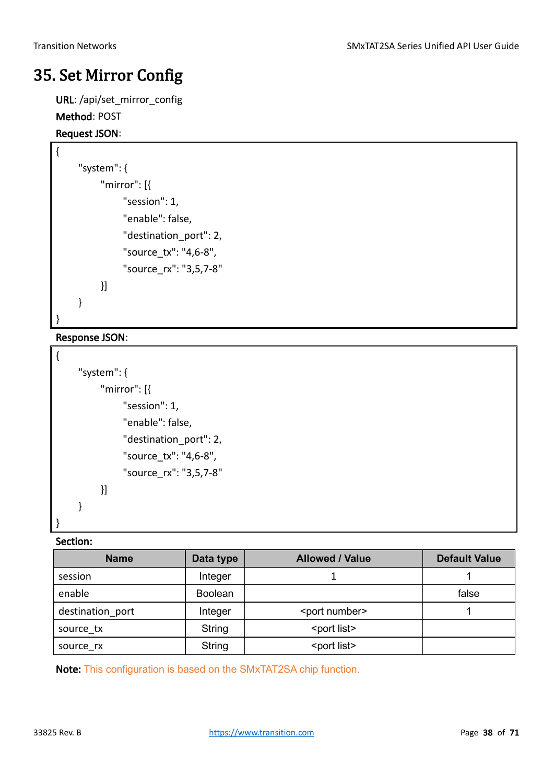### <span id="page-37-0"></span>35. Set Mirror Config

URL: /api/set\_mirror\_config

#### Method: POST

#### Request JSON:

{

```
 "system": {
           "mirror": [{
                 "session": 1,
                 "enable": false,
                 "destination_port": 2,
                 "source_tx": "4,6-8",
                 "source_rx": "3,5,7-8"
           }]
      }
}
```
#### Response JSON:

```
{
      "system": {
            "mirror": [{
                 "session": 1,
                 "enable": false,
                 "destination_port": 2,
                 "source_tx": "4,6-8",
                 "source_rx": "3,5,7-8"
            }]
      }
}
```
#### Section:

| <b>Name</b>      | Data type      | <b>Allowed / Value</b>  | <b>Default Value</b> |
|------------------|----------------|-------------------------|----------------------|
| session          | Integer        |                         |                      |
| enable           | <b>Boolean</b> |                         | false                |
| destination_port | Integer        | <port number=""></port> |                      |
| source tx        | String         | <port list=""></port>   |                      |
| source rx        | <b>String</b>  | <port list=""></port>   |                      |

Note: This configuration is based on the SMxTAT2SA chip function.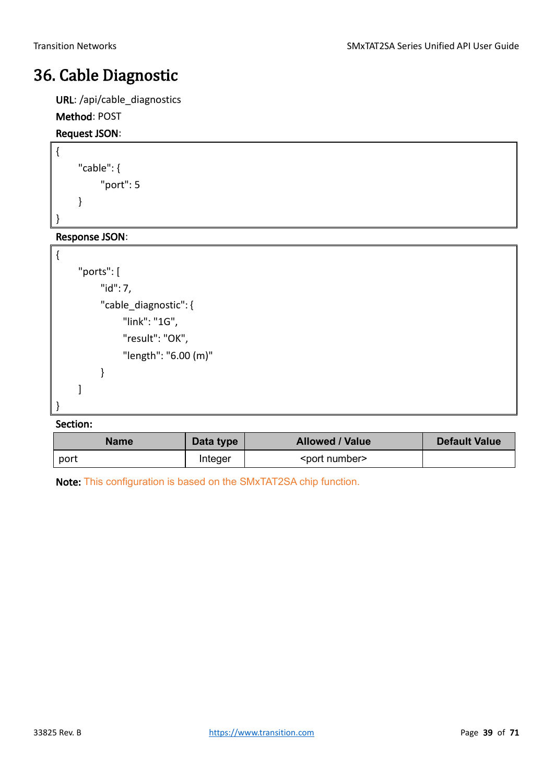### <span id="page-38-0"></span>36. Cable Diagnostic

URL: /api/cable\_diagnostics

#### Method: POST

#### Request JSON:

{

}

{

```
"cable": {
     "port": 5
}
```
Response JSON:

```
"ports": [
     "id": 7,
     "cable_diagnostic": {
          "link": "1G",
          "result": "OK",
          "length": "6.00 (m)"
     }
]
```
#### Section:

}

| Data type<br><b>Name</b> |         | <b>Allowed / Value</b>  | <b>Default Value</b> |
|--------------------------|---------|-------------------------|----------------------|
| port                     | Integer | <port number=""></port> |                      |

Note: This configuration is based on the SMxTAT2SA chip function.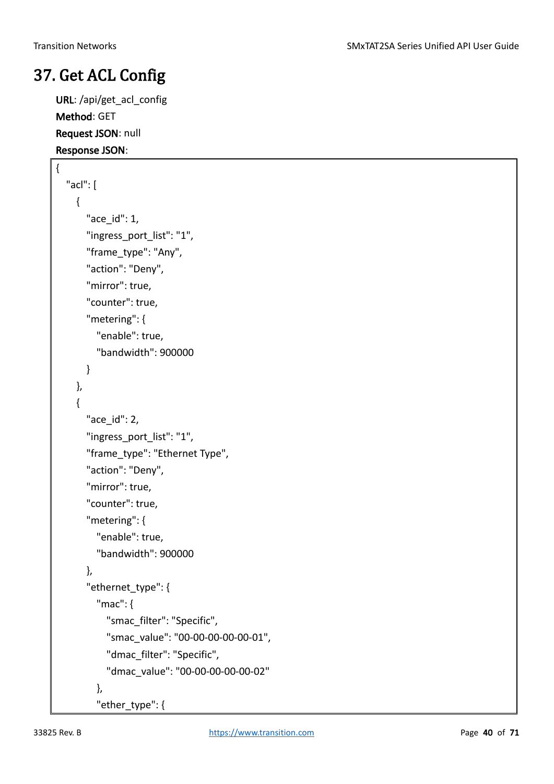### <span id="page-39-0"></span>37. Get ACL Config

URL: /api/get\_acl\_config Method: GET Request JSON: null Response JSON:

```
{
  "acl": [
    {
       "ace_id": 1,
      "ingress_port_list": "1",
      "frame_type": "Any",
      "action": "Deny",
      "mirror": true,
      "counter": true,
      "metering": {
         "enable": true,
         "bandwidth": 900000
      }
    },
    {
      "ace_id": 2,
      "ingress_port_list": "1",
      "frame_type": "Ethernet Type",
      "action": "Deny",
      "mirror": true,
      "counter": true,
      "metering": {
         "enable": true,
         "bandwidth": 900000
      },
      "ethernet_type": {
         "mac": {
           "smac_filter": "Specific",
           "smac_value": "00-00-00-00-00-01",
           "dmac_filter": "Specific",
           "dmac_value": "00-00-00-00-00-02"
         },
         "ether_type": {
```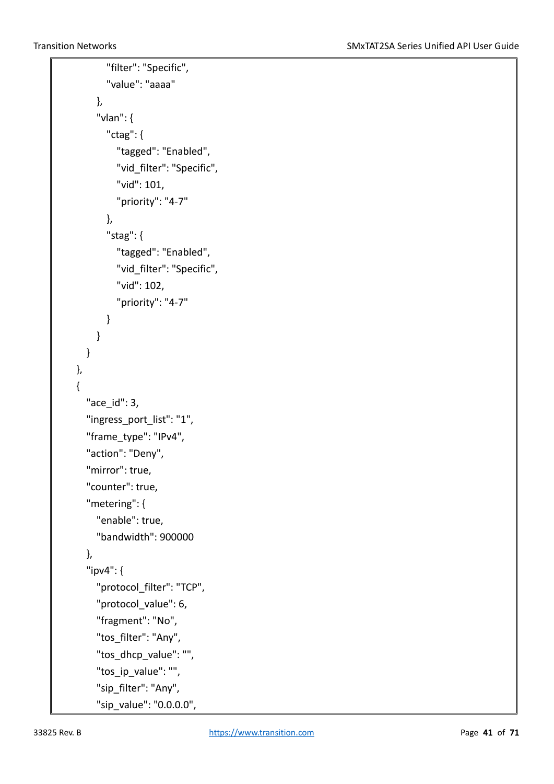```
"filter": "Specific",
      "value": "aaaa"
    },
    "vlan": {
      "ctag": {
         "tagged": "Enabled",
         "vid_filter": "Specific",
         "vid": 101,
         "priority": "4-7"
      },
      "stag": {
         "tagged": "Enabled",
         "vid_filter": "Specific",
         "vid": 102,
         "priority": "4-7"
      }
    }
  }
},
{
  "ace_id": 3,
  "ingress_port_list": "1",
  "frame_type": "IPv4",
  "action": "Deny",
  "mirror": true,
  "counter": true,
  "metering": {
    "enable": true,
    "bandwidth": 900000
  },
  "ipv4": {
    "protocol_filter": "TCP",
    "protocol_value": 6,
    "fragment": "No",
    "tos_filter": "Any",
    "tos_dhcp_value": "",
    "tos ip value": "",
    "sip_filter": "Any",
    "sip_value": "0.0.0.0",
```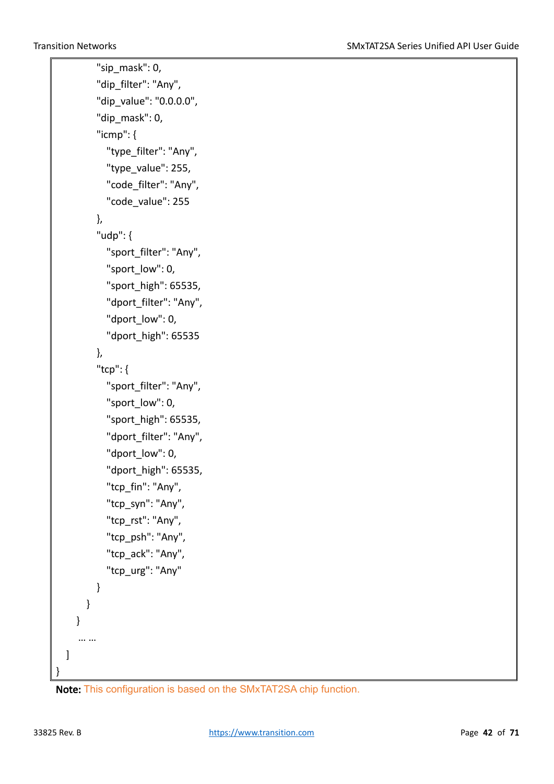```
"sip_mask": 0,
        "dip_filter": "Any",
        "dip_value": "0.0.0.0",
        "dip_mask": 0,
        "icmp": {
           "type_filter": "Any",
           "type_value": 255,
           "code_filter": "Any",
           "code_value": 255
        },
        "udp": {
           "sport_filter": "Any",
           "sport_low": 0,
           "sport_high": 65535,
           "dport_filter": "Any",
           "dport_low": 0,
           "dport_high": 65535
        },
        "tcp": {
           "sport_filter": "Any",
           "sport_low": 0,
           "sport_high": 65535,
           "dport_filter": "Any",
           "dport_low": 0,
           "dport_high": 65535,
           "tcp_fin": "Any",
           "tcp_syn": "Any",
           "tcp_rst": "Any",
           "tcp_psh": "Any",
           "tcp_ack": "Any",
           "tcp_urg": "Any"
        }
      }
    }
     … …
 ]
}
```
Note: This configuration is based on the SMxTAT2SA chip function.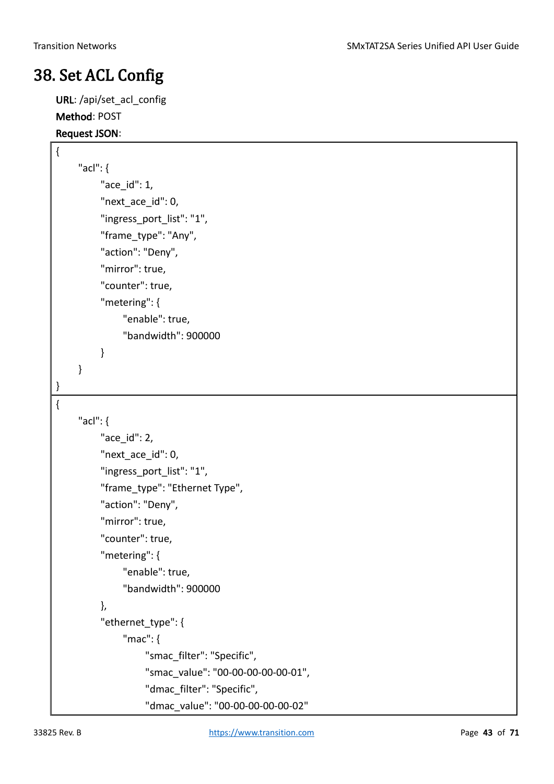### <span id="page-42-0"></span>38. Set ACL Config

URL: /api/set\_acl\_config Method: POST Request JSON:

```
{
      "acl": {
           "ace_id": 1,
          "next ace id": 0,
           "ingress_port_list": "1",
           "frame_type": "Any",
           "action": "Deny",
           "mirror": true,
           "counter": true,
           "metering": {
                "enable": true,
                "bandwidth": 900000
           } 
      }
}
{
      "acl": {
           "ace_id": 2,
          "next_ace_id": 0,
           "ingress_port_list": "1",
          "frame_type": "Ethernet Type",
           "action": "Deny",
           "mirror": true,
           "counter": true,
           "metering": {
                "enable": true,
                "bandwidth": 900000
           },
          "ethernet_type": {
                "mac": {
                      "smac_filter": "Specific",
                      "smac_value": "00-00-00-00-00-01",
                      "dmac_filter": "Specific",
                      "dmac_value": "00-00-00-00-00-02"
```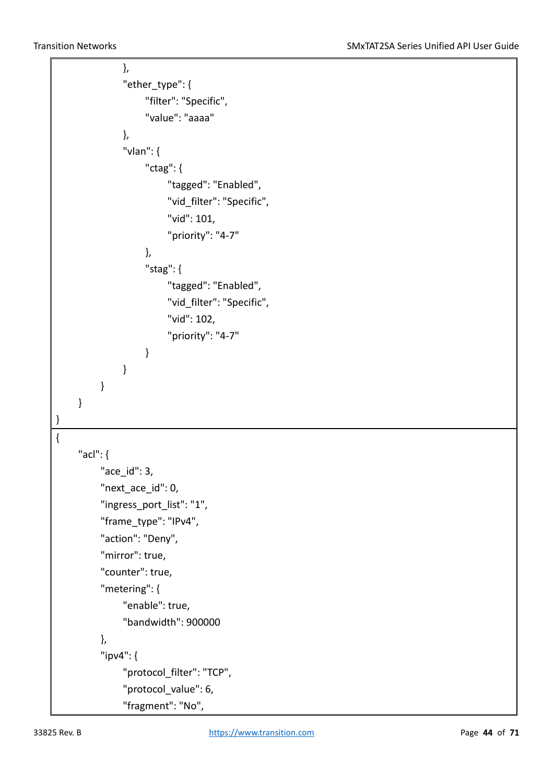```
 },
               "ether_type": {
                    "filter": "Specific",
                    "value": "aaaa"
               },
               "vlan": {
                    "ctag": {
                         "tagged": "Enabled",
                         "vid_filter": "Specific",
                         "vid": 101,
                         "priority": "4-7"
 },
                    "stag": {
                         "tagged": "Enabled",
                        "vid_filter": "Specific",
                         "vid": 102,
                         "priority": "4-7"
 }
 }
          } 
     }
}
{
     "acl": {
          "ace_id": 3,
          "next_ace_id": 0,
          "ingress_port_list": "1",
          "frame_type": "IPv4",
          "action": "Deny",
          "mirror": true,
          "counter": true,
          "metering": {
               "enable": true,
               "bandwidth": 900000
          },
          "ipv4": {
               "protocol_filter": "TCP",
              "protocol value": 6,
               "fragment": "No",
```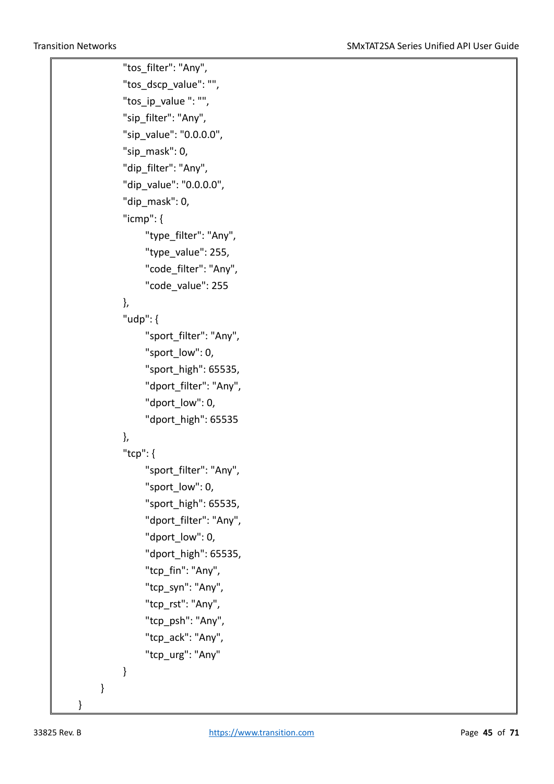"tos\_filter": "Any", "tos\_dscp\_value": "", "tos\_ip\_value ": "", "sip\_filter": "Any", "sip\_value": "0.0.0.0", "sip\_mask": 0, "dip\_filter": "Any", "dip\_value": "0.0.0.0", "dip\_mask": 0, "icmp": { "type\_filter": "Any", "type\_value": 255, "code\_filter": "Any", "code\_value": 255 }, "udp": { "sport\_filter": "Any", "sport\_low": 0, "sport\_high": 65535, "dport\_filter": "Any", "dport\_low": 0, "dport\_high": 65535 }, "tcp": { "sport\_filter": "Any", "sport\_low": 0, "sport\_high": 65535, "dport\_filter": "Any", "dport\_low": 0, "dport\_high": 65535, "tcp\_fin": "Any", "tcp\_syn": "Any", "tcp\_rst": "Any", "tcp\_psh": "Any", "tcp\_ack": "Any", "tcp\_urg": "Any" } }

}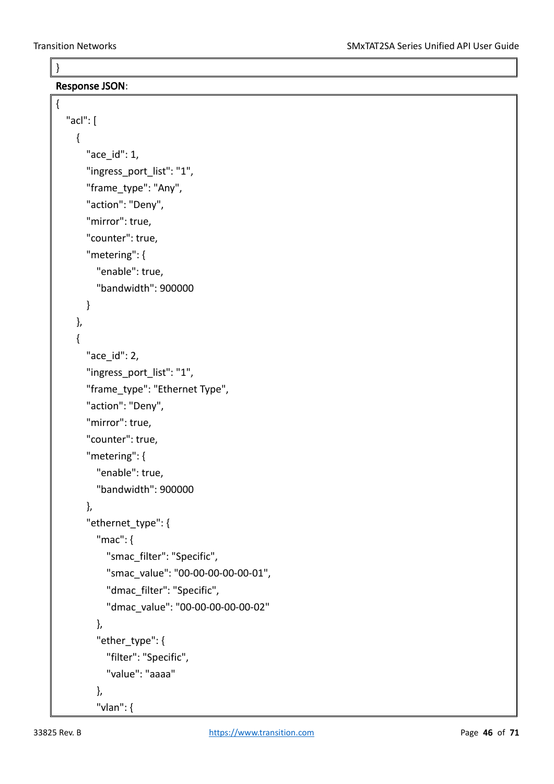}

{

Response JSON:

```
"acl": [
  {
    "ace_id": 1,
    "ingress_port_list": "1",
    "frame_type": "Any",
    "action": "Deny",
    "mirror": true,
    "counter": true,
    "metering": {
      "enable": true,
      "bandwidth": 900000
    }
  },
  {
    "ace_id": 2,
    "ingress_port_list": "1",
    "frame_type": "Ethernet Type",
    "action": "Deny",
    "mirror": true,
    "counter": true,
    "metering": {
      "enable": true,
      "bandwidth": 900000
    },
    "ethernet_type": {
      "mac": {
        "smac_filter": "Specific",
        "smac_value": "00-00-00-00-00-01",
        "dmac_filter": "Specific",
        "dmac_value": "00-00-00-00-00-02"
      },
      "ether_type": {
        "filter": "Specific",
        "value": "aaaa"
      },
      "vlan": {
```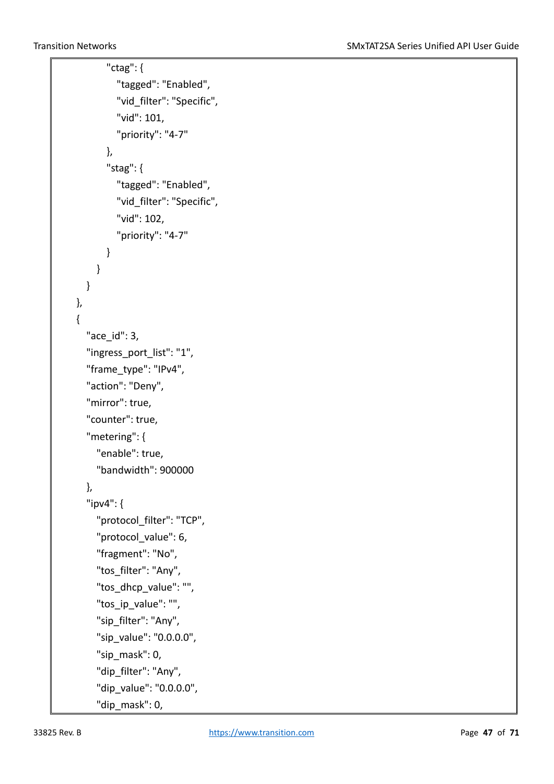```
"ctag": {
         "tagged": "Enabled",
         "vid_filter": "Specific",
         "vid": 101,
         "priority": "4-7"
      },
       "stag": {
         "tagged": "Enabled",
         "vid_filter": "Specific",
         "vid": 102,
         "priority": "4-7"
      }
    }
  }
},
{
  "ace_id": 3,
  "ingress_port_list": "1",
  "frame_type": "IPv4",
  "action": "Deny",
  "mirror": true,
  "counter": true,
  "metering": {
    "enable": true,
    "bandwidth": 900000
  },
  "ipv4": {
    "protocol_filter": "TCP",
    "protocol_value": 6,
    "fragment": "No",
    "tos_filter": "Any",
    "tos_dhcp_value": "",
    "tos_ip_value": "",
    "sip_filter": "Any",
    "sip_value": "0.0.0.0",
    "sip_mask": 0,
    "dip_filter": "Any",
    "dip_value": "0.0.0.0",
    "dip_mask": 0,
```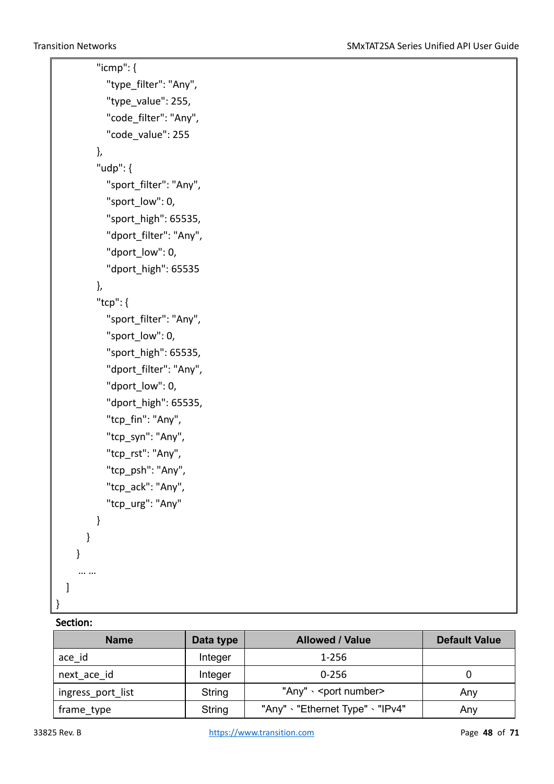```
"icmp": {
         "type_filter": "Any",
         "type_value": 255,
         "code_filter": "Any",
         "code_value": 255
       },
       "udp": {
         "sport_filter": "Any",
         "sport_low": 0,
         "sport_high": 65535,
         "dport_filter": "Any",
         "dport_low": 0,
         "dport_high": 65535
       },
       "tcp": {
         "sport_filter": "Any",
         "sport_low": 0,
         "sport_high": 65535,
         "dport_filter": "Any",
         "dport_low": 0,
         "dport_high": 65535,
         "tcp_fin": "Any",
         "tcp_syn": "Any",
         "tcp_rst": "Any",
         "tcp_psh": "Any",
         "tcp_ack": "Any",
         "tcp_urg": "Any"
      }
    }
  }
   … …
]
```
#### Section:

}

| <b>Name</b>       | Data type     | <b>Allowed / Value</b>                | <b>Default Value</b> |
|-------------------|---------------|---------------------------------------|----------------------|
| ace id            | Integer       | 1-256                                 |                      |
| next ace id       | Integer       | $0 - 256$                             |                      |
| ingress port list | String        | "Any" $\cdot$ <port number=""></port> | Any                  |
| frame type        | <b>String</b> | "Any" · "Ethernet Type" · "IPv4"      | Any                  |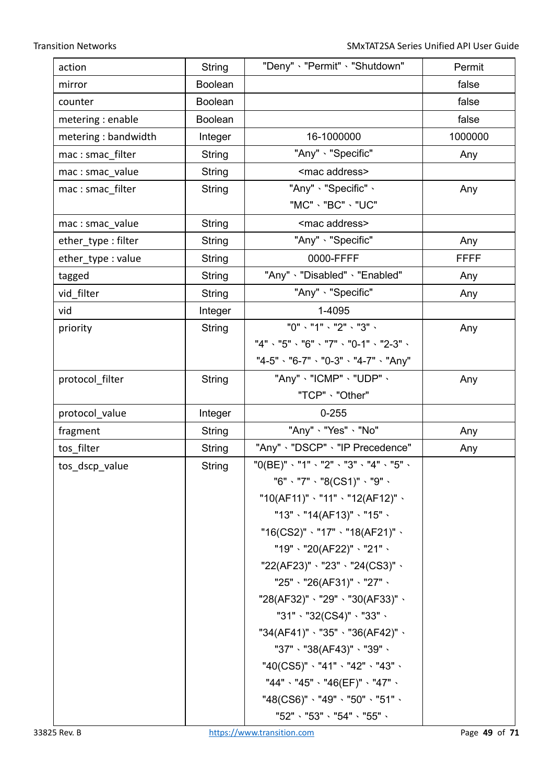| action              | String         | "Deny" 、"Permit" 、"Shutdown"                      | Permit      |
|---------------------|----------------|---------------------------------------------------|-------------|
| mirror              | <b>Boolean</b> |                                                   | false       |
| counter             | Boolean        |                                                   | false       |
| metering : enable   | <b>Boolean</b> |                                                   | false       |
| metering: bandwidth | Integer        | 16-1000000                                        | 1000000     |
| mac: smac filter    | String         | "Any" · "Specific"                                | Any         |
| mac: smac_value     | String         | <mac address=""></mac>                            |             |
| mac: smac filter    | String         | "Any" 、"Specific" 、                               | Any         |
|                     |                | "MC" - "BC" - "UC"                                |             |
| mac: smac_value     | <b>String</b>  | <mac address=""></mac>                            |             |
| ether_type: filter  | String         | "Any" · "Specific"                                | Any         |
| ether_type: value   | <b>String</b>  | 0000-FFFF                                         | <b>FFFF</b> |
| tagged              | <b>String</b>  | "Any" 、"Disabled" 、"Enabled"                      | Any         |
| vid_filter          | <b>String</b>  | "Any" · "Specific"                                | Any         |
| vid                 | Integer        | 1-4095                                            |             |
| priority            | <b>String</b>  | "0" < "1" < "2" < "3" <                           | Any         |
|                     |                | "4" \ "5" \ "6" \ "7" \ "0-1" \ "2-3" \           |             |
|                     |                | "4-5" \ "6-7" \ "0-3" \ "4-7" \ "Any"             |             |
| protocol_filter     | String         | "Any" 、"ICMP" 、"UDP" 、                            | Any         |
|                     |                | "TCP" 、"Other"                                    |             |
| protocol_value      | Integer        | $0 - 255$                                         |             |
| fragment            | String         | "Any" < "Yes" < "No"                              | Any         |
| tos filter          | String         | "Any" 、"DSCP" 、"IP Precedence"                    | Any         |
| tos_dscp_value      | String         | "0(BE)" \ "1" \ "2" \ "3" \ "4" \ "5" \           |             |
|                     |                | "6"、"7"、"8(CS1)"、"9"、                             |             |
|                     |                | "10(AF11)" 、"11" 、"12(AF12)" 、                    |             |
|                     |                | "13" $\cdot$ "14(AF13)" $\cdot$ "15" $\cdot$      |             |
|                     |                | "16(CS2)" $\cdot$ "17" $\cdot$ "18(AF21)" $\cdot$ |             |
|                     |                | "19"、"20(AF22)"、"21"、                             |             |
|                     |                | "22(AF23)"、"23"、"24(CS3)"、                        |             |
|                     |                | "25"、"26(AF31)"、"27"、                             |             |
|                     |                | "28(AF32)"、"29"、"30(AF33)"、                       |             |
|                     |                |                                                   |             |
|                     |                | "34(AF41)"、"35"、"36(AF42)"、                       |             |
|                     |                | "37"、"38(AF43)"、"39"、                             |             |
|                     |                | "40(CS5)"、"41"、"42"、"43"、                         |             |
|                     |                | "44"、"45"、"46(EF)"、"47"、                          |             |
|                     |                | "48(CS6)" 、"49" 、"50" 、"51" 、                     |             |
|                     |                | "52" 、"53" 、"54" 、"55" 、                          |             |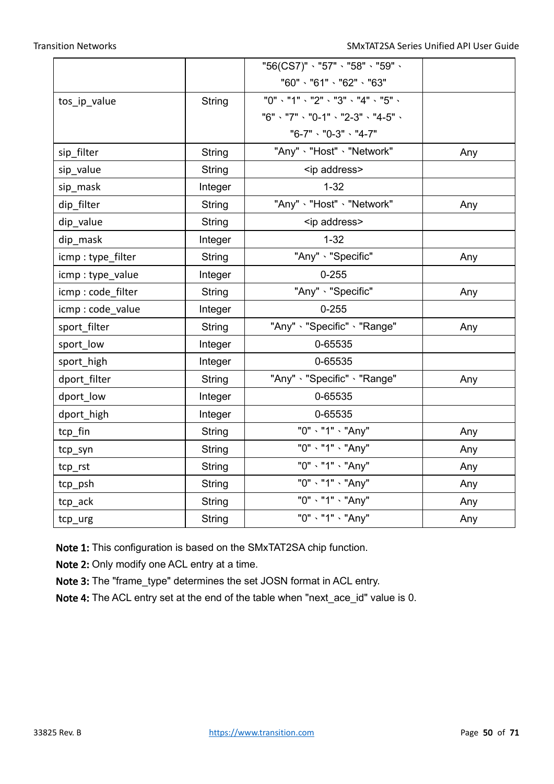|                   |               | "56(CS7)" 、"57" 、"58" 、"59" 、       |     |  |
|-------------------|---------------|-------------------------------------|-----|--|
|                   |               | "60" \ "61" \ "62" \ "63"           |     |  |
| tos_ip_value      | <b>String</b> | "0" \ "1" \ "2" \ "3" \ "4" \ "5" \ |     |  |
|                   |               | "6" \ "7" \ "0-1" \ "2-3" \ "4-5" \ |     |  |
|                   |               | "6-7" 、 "0-3" 、 "4-7"               |     |  |
| sip_filter        | <b>String</b> | "Any" 、"Host" 、"Network"            | Any |  |
| sip_value         | <b>String</b> | <ip address=""></ip>                |     |  |
| sip mask          | Integer       | $1 - 32$                            |     |  |
| dip_filter        | String        | "Any" · "Host" · "Network"          | Any |  |
| dip_value         | <b>String</b> | <ip address=""></ip>                |     |  |
| dip_mask          | Integer       | $1 - 32$                            |     |  |
| icmp: type_filter | <b>String</b> | "Any" · "Specific"                  | Any |  |
| icmp: type_value  | Integer       | $0 - 255$                           |     |  |
| icmp: code_filter | <b>String</b> | "Any" · "Specific"                  | Any |  |
| icmp: code_value  | Integer       | $0 - 255$                           |     |  |
| sport_filter      | <b>String</b> | "Any" · "Specific" · "Range"        | Any |  |
| sport_low         | Integer       | 0-65535                             |     |  |
| sport_high        | Integer       | 0-65535                             |     |  |
| dport_filter      | <b>String</b> | "Any" 、"Specific" 、"Range"          | Any |  |
| dport_low         | Integer       | 0-65535                             |     |  |
| dport_high        | Integer       | 0-65535                             |     |  |
| tcp_fin           | <b>String</b> | "0" - "1" - "Any"                   | Any |  |
| tcp_syn           | <b>String</b> | "0" - "1" - "Any"                   | Any |  |
| tcp_rst           | <b>String</b> | "0" - "1" - "Any"<br>Any            |     |  |
| tcp_psh           | <b>String</b> | "0" - "1" - "Any"                   | Any |  |
| tcp_ack           | <b>String</b> | "0" - "1" - "Any"                   | Any |  |
| tcp_urg           | String        | "0" - "1" - "Any"                   | Any |  |

Note 1: This configuration is based on the SMxTAT2SA chip function.

Note 2: Only modify one ACL entry at a time.

Note 3: The "frame\_type" determines the set JOSN format in ACL entry.

Note 4: The ACL entry set at the end of the table when "next\_ace\_id" value is 0.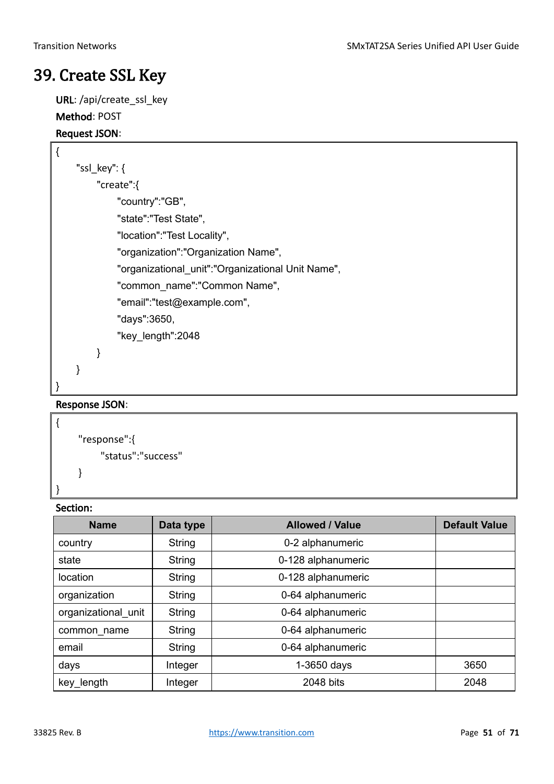### <span id="page-50-0"></span>39. Create SSL Key

URL: /api/create\_ssl\_key

#### Method: POST

#### Request JSON:

<sub>f</sub>

|  | "ssl key": $\{$ |                                                   |
|--|-----------------|---------------------------------------------------|
|  |                 | "create":{                                        |
|  |                 | "country":"GB",                                   |
|  |                 | "state":"Test State",                             |
|  |                 | "location":"Test Locality",                       |
|  |                 | "organization":"Organization Name",               |
|  |                 | "organizational_unit":"Organizational Unit Name", |
|  |                 | "common name":"Common Name",                      |
|  |                 | "email":"test@example.com",                       |
|  |                 | "days":3650,                                      |
|  |                 | "key_length":2048                                 |
|  |                 |                                                   |
|  |                 |                                                   |
|  |                 |                                                   |

#### Response JSON:

```
{
    "response":{
         "status":"success"
    }
```
#### Section:

}

| <b>Name</b>         | Data type     | <b>Allowed / Value</b> | <b>Default Value</b> |
|---------------------|---------------|------------------------|----------------------|
| country             | String        | 0-2 alphanumeric       |                      |
| state               | String        | 0-128 alphanumeric     |                      |
| location            | String        | 0-128 alphanumeric     |                      |
| organization        | String        | 0-64 alphanumeric      |                      |
| organizational unit | <b>String</b> | 0-64 alphanumeric      |                      |
| common name         | String        | 0-64 alphanumeric      |                      |
| email               | String        | 0-64 alphanumeric      |                      |
| days                | Integer       | $1-3650$ days          | 3650                 |
| key_length          | Integer       | 2048 bits              | 2048                 |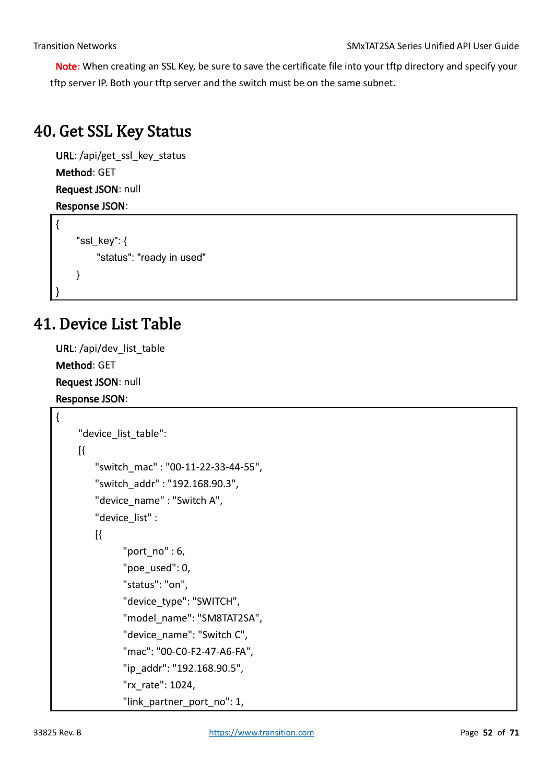Note: When creating an SSL Key, be sure to save the certificate file into your tftp directory and specify your tftp server IP. Both your tftp server and the switch must be on the same subnet.

### <span id="page-51-0"></span>40. Get SSL Key Status

URL: /api/get\_ssl\_key\_status Method: GET Request JSON: null Response JSON:

```
{
    "ssl key": {
         "status": "ready in used"
    }
}
```
### <span id="page-51-1"></span>41. Device List Table

URL: /api/dev\_list\_table Method: GET Request JSON: null Response JSON:

{

```
"device list table":
 [{
    "switch_mac" : "00-11-22-33-44-55",
    "switch_addr" : "192.168.90.3",
    "device_name" : "Switch A",
    "device_list" : 
   \mathbb{R}"port_no" : 6,
           "poe_used": 0,
           "status": "on",
           "device_type": "SWITCH",
           "model_name": "SM8TAT2SA",
           "device_name": "Switch C",
           "mac": "00-C0-F2-47-A6-FA",
           "ip_addr": "192.168.90.5",
           "rx_rate": 1024,
          "link partner port no": 1,
```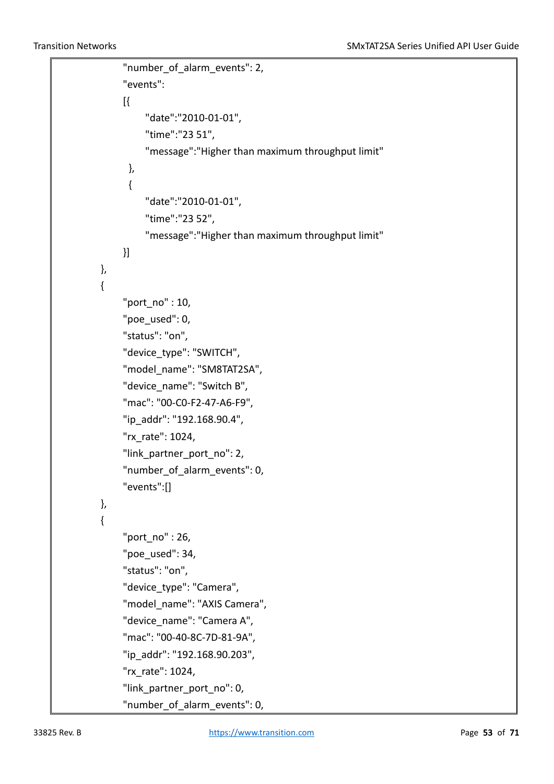```
"number of alarm events": 2,
               "events":
[ "date":"2010-01-01",
                   "time":"23 51",
                   "message":"Higher than maximum throughput limit"
 },
\{ "date":"2010-01-01",
                   "time":"23 52",
                   "message":"Higher than maximum throughput limit"
              }]
          },
\overline{\mathcal{L}} "port_no" : 10,
               "poe_used": 0,
               "status": "on",
               "device_type": "SWITCH",
               "model_name": "SM8TAT2SA",
               "device_name": "Switch B",
               "mac": "00-C0-F2-47-A6-F9",
               "ip_addr": "192.168.90.4",
               "rx_rate": 1024,
              "link partner port no": 2,
              "number of alarm events": 0,
               "events":[]
          },
\overline{\mathcal{L}} "port_no" : 26,
               "poe_used": 34,
               "status": "on",
              "device_type": "Camera",
               "model_name": "AXIS Camera",
               "device_name": "Camera A",
               "mac": "00-40-8C-7D-81-9A",
               "ip_addr": "192.168.90.203",
               "rx_rate": 1024,
              "link partner port no": 0,
              "number of alarm events": 0,
```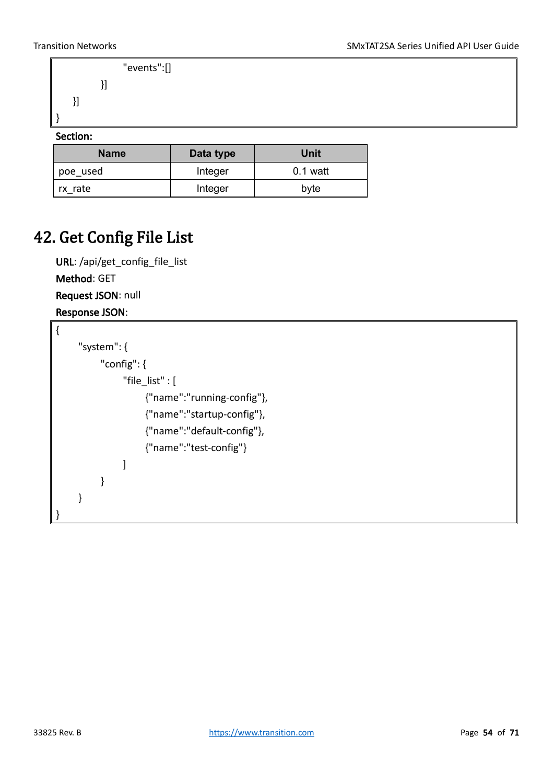```
 "events":[]
        }]
 }]
```
#### Section:

}

| <b>Name</b> | Data type | Unit       |
|-------------|-----------|------------|
| poe used    | Integer   | $0.1$ watt |
| rx rate     | Integer   | byte       |

### <span id="page-53-0"></span>42. Get Config File List

URL: /api/get\_config\_file\_list Method: GET Request JSON: null Response JSON:

```
{
     "system": {
          "config": {
               "file_list" : [
                     {"name":"running-config"},
                     {"name":"startup-config"},
                     {"name":"default-config"},
                     {"name":"test-config"}
               ]
          }
     }
}
```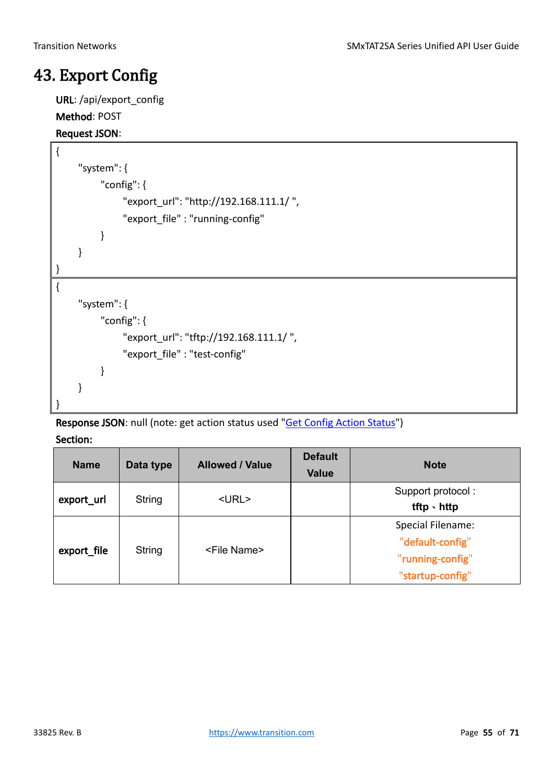### <span id="page-54-0"></span>43. Export Config

URL: /api/export\_config

#### Method: POST

#### Request JSON:

```
{
     "system": {
          "config": {
               "export_url": "http://192.168.111.1/ ",
               "export_file" : "running-config"
          }
     }
}
{
     "system": {
          "config": {
               "export_url": "tftp://192.168.111.1/ ",
               "export_file" : "test-config"
          }
     }
}
```
Response JSON: null (note: get action status used "Get Config Action Status")

| <b>Name</b> | Data type | <b>Allowed / Value</b> | <b>Default</b><br><b>Value</b> | <b>Note</b>                                                                   |
|-------------|-----------|------------------------|--------------------------------|-------------------------------------------------------------------------------|
| export url  | String    | $<$ URL $>$            |                                | Support protocol:<br>$tftp \cdot hftp$                                        |
| export_file | String    | <file name=""></file>  |                                | Special Filename:<br>"default-config"<br>"running-config"<br>"startup-config" |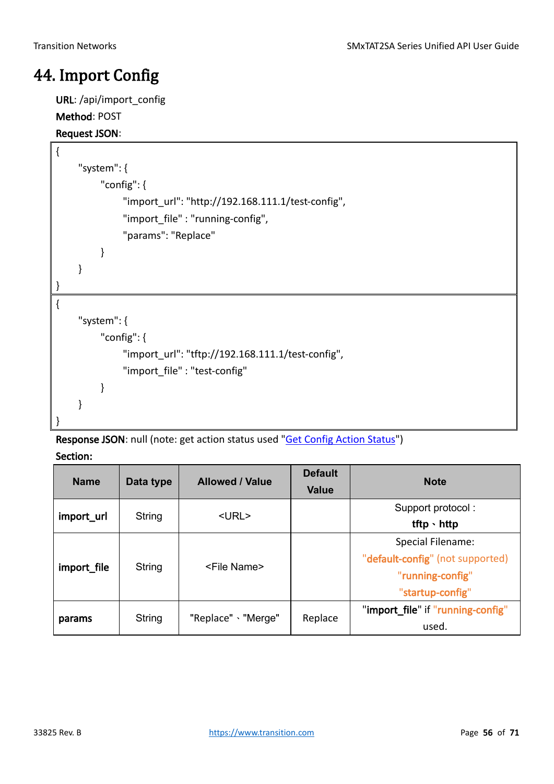### <span id="page-55-0"></span>44. Import Config

URL: /api/import\_config

#### Method: POST

#### Request JSON:

<sup>{</sup>

| ι    |   |                                                   |
|------|---|---------------------------------------------------|
|      |   | "system": $\{$                                    |
|      |   | "config": $\{$                                    |
|      |   | "import_url": "http://192.168.111.1/test-config", |
|      |   | "import_file": "running-config",                  |
|      |   | "params": "Replace"                               |
|      |   | ł                                                 |
|      | } |                                                   |
|      |   |                                                   |
| $\{$ |   |                                                   |
|      |   | "system": {                                       |
|      |   | "config": $\{$                                    |
|      |   | "import url": "tftp://192.168.111.1/test-config", |
|      |   | "import file": "test-config"                      |
|      |   | ł                                                 |
|      | ł |                                                   |
|      |   |                                                   |

Response JSON: null (note: get action status used "Get Config Action Status")

| <b>Name</b> | Data type | <b>Allowed / Value</b> | <b>Default</b><br><b>Value</b> | <b>Note</b>                                                                                   |
|-------------|-----------|------------------------|--------------------------------|-----------------------------------------------------------------------------------------------|
| import url  | String    | $<$ URL $>$            |                                | Support protocol:<br>tftp $\cdot$ http                                                        |
| import file | String    | <file name=""></file>  |                                | Special Filename:<br>"default-config" (not supported)<br>"running-config"<br>"startup-config" |
| params      | String    | "Replace" \ "Merge"    | Replace                        | "import_file" if "running-config"<br>used.                                                    |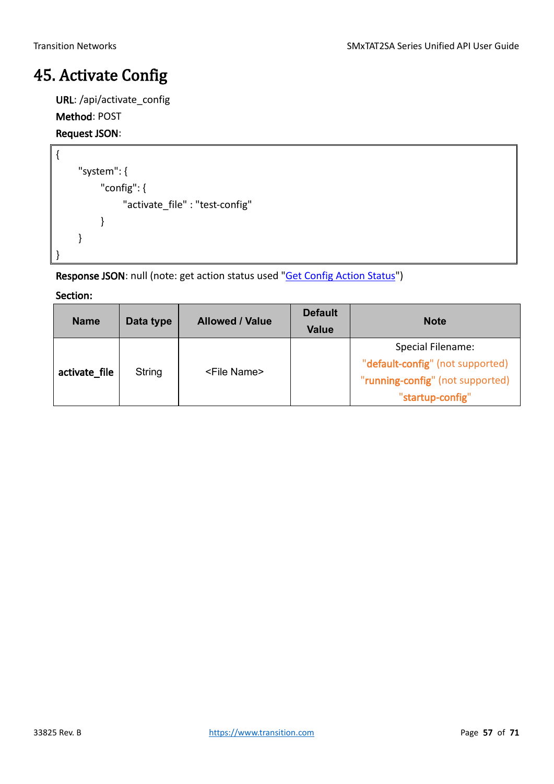### <span id="page-56-0"></span>45. Activate Config

URL: /api/activate\_config

#### Method: POST

### Request JSON:

```
{
     "system": {
          "config": {
                "activate_file" : "test-config"
          }
     }
}
```
Response JSON: null (note: get action status used "Get Config Action Status")

| <b>Name</b>   | Data type | <b>Allowed / Value</b> | <b>Default</b><br><b>Value</b> | <b>Note</b>                                                                                                   |
|---------------|-----------|------------------------|--------------------------------|---------------------------------------------------------------------------------------------------------------|
| activate_file | String    | <file name=""></file>  |                                | Special Filename:<br>"default-config" (not supported)<br>"running-config" (not supported)<br>"startup-config" |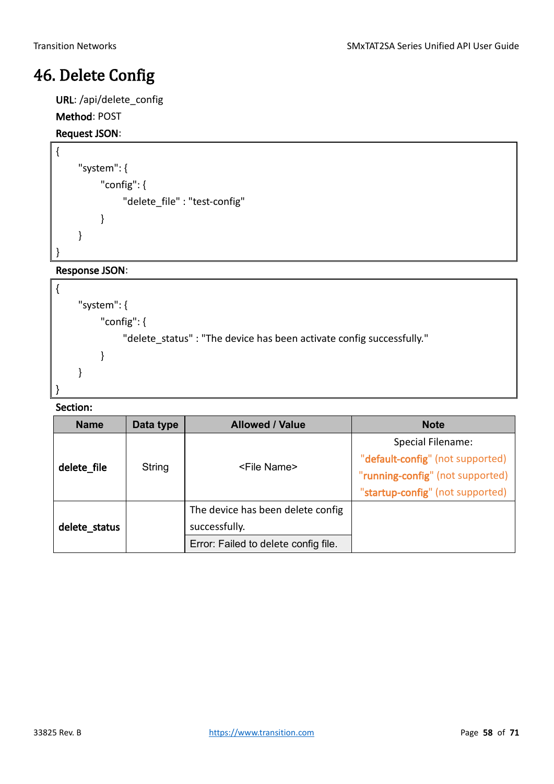### <span id="page-57-0"></span>46. Delete Config

URL: /api/delete\_config

#### Method: POST

#### Request JSON:

{

}

```
"system": {
     "config": {
          "delete_file" : "test-config"
     }
}
```
#### Response JSON:

```
{
     "system": {
          "config": {
               "delete_status" : "The device has been activate config successfully."
          }
     }
}
```

| <b>Name</b>   | Data type | <b>Allowed / Value</b>                                                                     | <b>Note</b>                                                                               |
|---------------|-----------|--------------------------------------------------------------------------------------------|-------------------------------------------------------------------------------------------|
| delete file   | String    | <file name=""></file>                                                                      | Special Filename:<br>"default-config" (not supported)<br>"running-config" (not supported) |
| delete_status |           | The device has been delete config<br>successfully.<br>Error: Failed to delete config file. | "startup-config" (not supported)                                                          |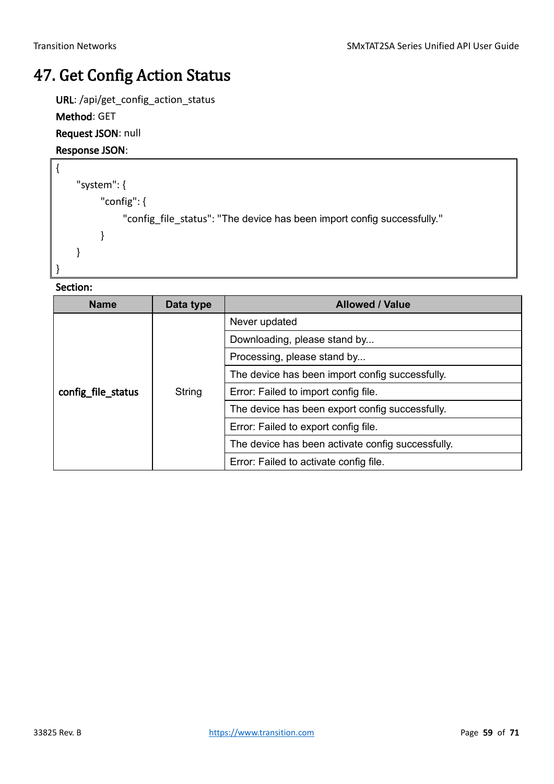### <span id="page-58-0"></span>47. Get Config Action Status

URL: /api/get\_config\_action\_status

#### Method: GET

Request JSON: null

#### Response JSON:

```
{
     "system": {
          "config": {
               "config_file_status": "The device has been import config successfully."
          }
     }
}
```

| <b>Name</b>        | Data type                                      | <b>Allowed / Value</b>                            |
|--------------------|------------------------------------------------|---------------------------------------------------|
|                    |                                                | Never updated                                     |
|                    |                                                | Downloading, please stand by                      |
|                    |                                                | Processing, please stand by                       |
|                    |                                                | The device has been import config successfully.   |
| config_file_status | String<br>Error: Failed to import config file. |                                                   |
|                    |                                                | The device has been export config successfully.   |
|                    | Error: Failed to export config file.           |                                                   |
|                    | Error: Failed to activate config file.         | The device has been activate config successfully. |
|                    |                                                |                                                   |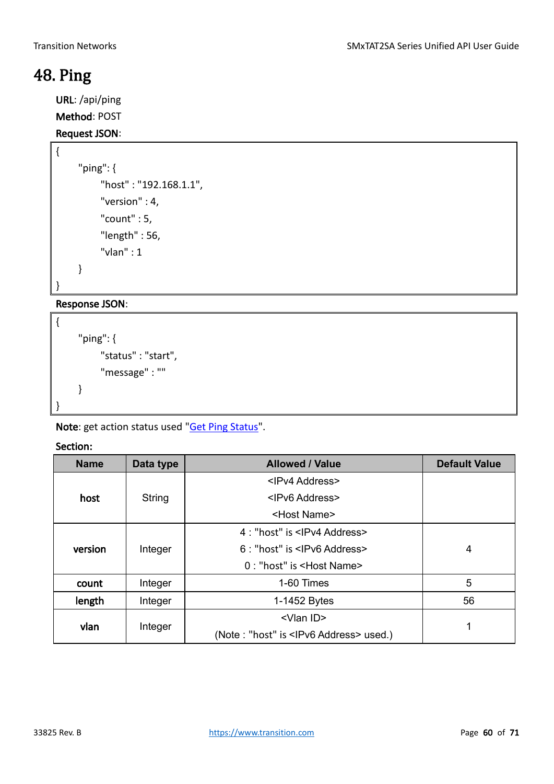### <span id="page-59-0"></span>48. Ping

{

URL: /api/ping

Method: POST

#### Request JSON:

```
"ping": {
     "host" : "192.168.1.1",
     "version" : 4,
     "count" : 5,
     "length" : 56,
     "vlan" : 1
}
```
}

### Response JSON:

```
{
     "ping": {
          "status" : "start",
          "message" : ""
     }
}
```
Note: get action status used "Get Ping Status".

| <b>Name</b> | Data type | <b>Allowed / Value</b>                 | <b>Default Value</b>                             |   |
|-------------|-----------|----------------------------------------|--------------------------------------------------|---|
|             |           | <ipv4 address=""></ipv4>               |                                                  |   |
| host        | String    | <ipv6 address=""></ipv6>               |                                                  |   |
|             |           | <host name=""></host>                  |                                                  |   |
|             |           | 4 : "host" is <lpv4 address=""></lpv4> |                                                  |   |
| version     | Integer   | 6 : "host" is <lpv6 address=""></lpv6> | 4                                                |   |
|             |           | 0: "host" is <host name=""></host>     |                                                  |   |
| count       | Integer   | 1-60 Times                             | 5                                                |   |
| length      | Integer   | $1-1452$ Bytes                         | 56                                               |   |
| vlan        | Integer   | <vlan id=""></vlan>                    |                                                  | 1 |
|             |           |                                        | (Note: "host" is <lpv6 address=""> used.)</lpv6> |   |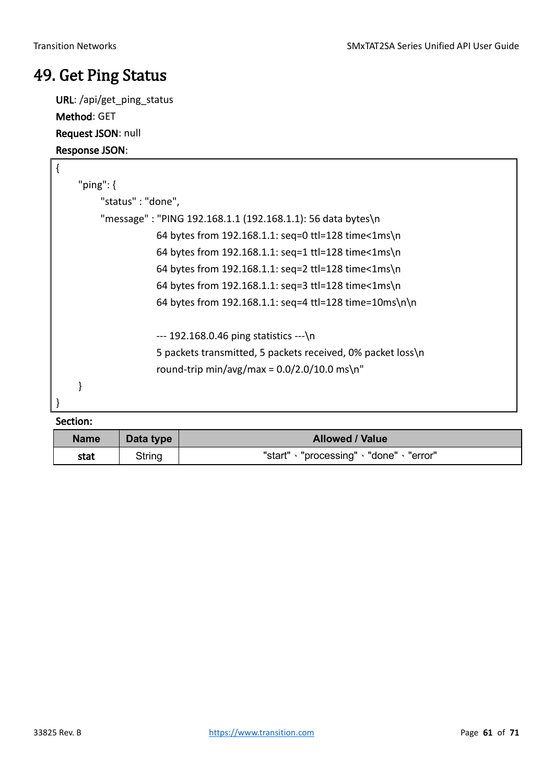### <span id="page-60-0"></span>49. Get Ping Status

URL: /api/get\_ping\_status Method: GET Request JSON: null Response JSON:

| $\{$ |                                                             |
|------|-------------------------------------------------------------|
|      | "ping": $\{$                                                |
|      | "status" : "done",                                          |
|      | "message": "PING 192.168.1.1 (192.168.1.1): 56 data bytes\n |
|      | 64 bytes from 192.168.1.1: seq=0 ttl=128 time<1ms\n         |
|      | 64 bytes from 192.168.1.1: seq=1 ttl=128 time<1ms\n         |
|      | 64 bytes from 192.168.1.1: seq=2 ttl=128 time<1ms\n         |
|      | 64 bytes from 192.168.1.1: seq=3 ttl=128 time<1ms\n         |
|      | 64 bytes from 192.168.1.1: seg=4 ttl=128 time=10ms\n\n      |
|      | $-192.168.0.46$ ping statistics $-$ -                       |
|      | 5 packets transmitted, 5 packets received, 0% packet loss\n |
|      | round-trip min/avg/max = $0.0/2.0/10.0$ ms\n"               |
|      |                                                             |
|      |                                                             |

| <b>Name</b> | Data type | <b>Allowed / Value</b>                    |  |
|-------------|-----------|-------------------------------------------|--|
| stat        | String    | "start" · "processing" · "done" · "error" |  |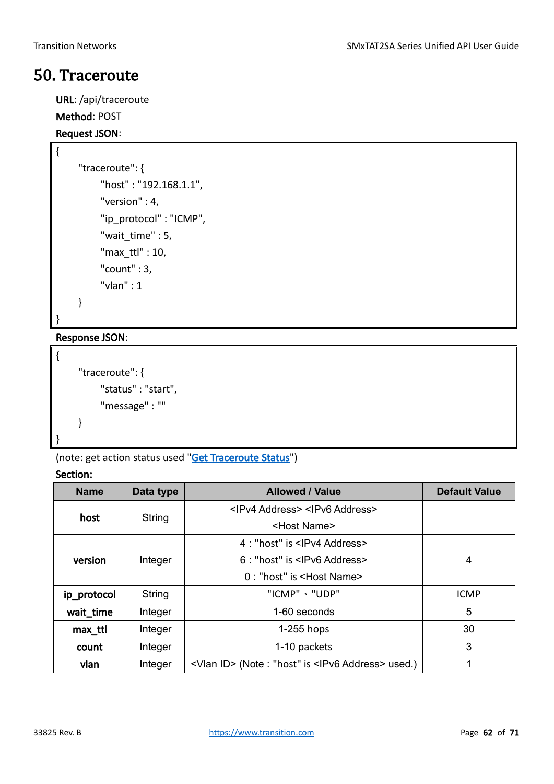### <span id="page-61-0"></span>50. Traceroute

URL: /api/traceroute Method: POST

## Request JSON:

```
"traceroute": {
     "host" : "192.168.1.1",
     "version" : 4,
    "ip_protocol" : "ICMP",
    "wait_time" : 5,
     "max_ttl" : 10,
     "count" : 3,
     "vlan" : 1
}
```
}

{

### Response JSON:

```
{
     "traceroute": {
          "status" : "start",
          "message" : ""
     }
}
```
(note: get action status used ["Get Traceroute Status"](#page-62-0))

| <b>Name</b>                                                                                | <b>Allowed / Value</b><br>Data type |                                                   | <b>Default Value</b> |
|--------------------------------------------------------------------------------------------|-------------------------------------|---------------------------------------------------|----------------------|
|                                                                                            |                                     | <ipv4 address=""> <ipv6 address=""></ipv6></ipv4> |                      |
| host                                                                                       | String                              | <host name=""></host>                             |                      |
|                                                                                            |                                     | 4 : "host" is <lpv4 address=""></lpv4>            |                      |
| version                                                                                    | Integer                             | 6 : "host" is <lpv6 address=""></lpv6>            | 4                    |
|                                                                                            |                                     | 0: "host" is <host name=""></host>                |                      |
| ip_protocol                                                                                | String                              | "ICMP" 、"UDP"                                     | <b>ICMP</b>          |
| wait_time                                                                                  | Integer                             | 1-60 seconds                                      | 5                    |
| max_ttl                                                                                    | Integer                             | $1-255$ hops                                      | 30                   |
| count                                                                                      | Integer                             | 1-10 packets                                      | 3                    |
| <vlan id=""> (Note : "host" is <ipv6 address=""> used.)<br/>Integer<br/>vlan</ipv6></vlan> |                                     |                                                   |                      |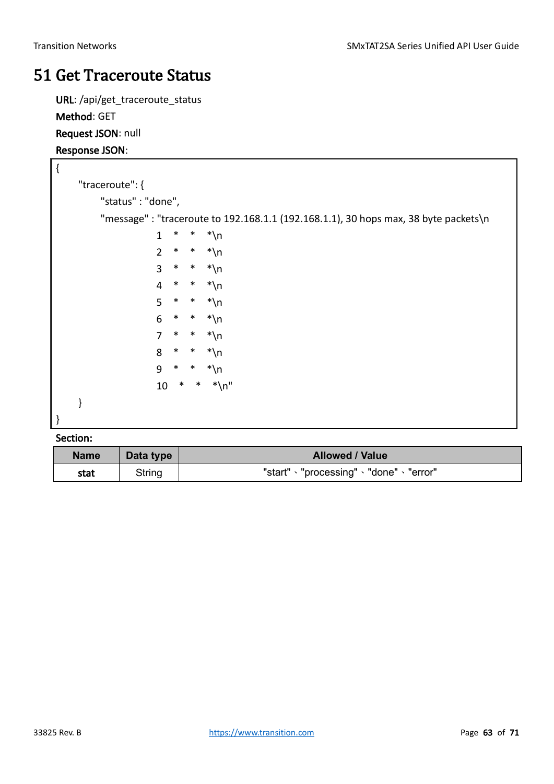### <span id="page-62-0"></span>51 Get Traceroute Status

URL: /api/get\_traceroute\_status Method: GET Request JSON: null Response JSON:

| $\{$ |                   |                |        |        |                                                                                     |  |  |
|------|-------------------|----------------|--------|--------|-------------------------------------------------------------------------------------|--|--|
|      | "traceroute": {   |                |        |        |                                                                                     |  |  |
|      | "status": "done", |                |        |        |                                                                                     |  |  |
|      |                   |                |        |        | "message": "traceroute to 192.168.1.1 (192.168.1.1), 30 hops max, 38 byte packets\n |  |  |
|      |                   | 1              | *      | $\ast$ | $*$ \n                                                                              |  |  |
|      |                   | $\overline{2}$ | $\ast$ |        | $*$ $*\n\$ n                                                                        |  |  |
|      |                   | $\overline{3}$ | $\ast$ |        | $*$ $*\n\$ n                                                                        |  |  |
|      |                   | $\overline{4}$ | $\ast$ |        | $*$ $*\n\$ n                                                                        |  |  |
|      |                   | 5              | $\ast$ |        | $*$ $*\n\$ n                                                                        |  |  |
|      |                   | 6              | $\ast$ | $\ast$ | *∖n                                                                                 |  |  |
|      |                   | $\overline{7}$ | $\ast$ |        | $*$ $*\n\$ n                                                                        |  |  |
|      |                   | 8              | $\ast$ | $\ast$ | $*\n\$ n                                                                            |  |  |
|      |                   | 9              | $\ast$ | $\ast$ | $*\n\$ n                                                                            |  |  |
|      |                   | 10             | $\ast$ |        | $*$ $*$ \n"                                                                         |  |  |
|      |                   |                |        |        |                                                                                     |  |  |
|      |                   |                |        |        |                                                                                     |  |  |
|      | <b>Saction</b>    |                |        |        |                                                                                     |  |  |

| <b>Name</b> | Data type | <b>Allowed / Value</b>                    |  |
|-------------|-----------|-------------------------------------------|--|
| stat        | String    | "start" · "processing" · "done" · "error" |  |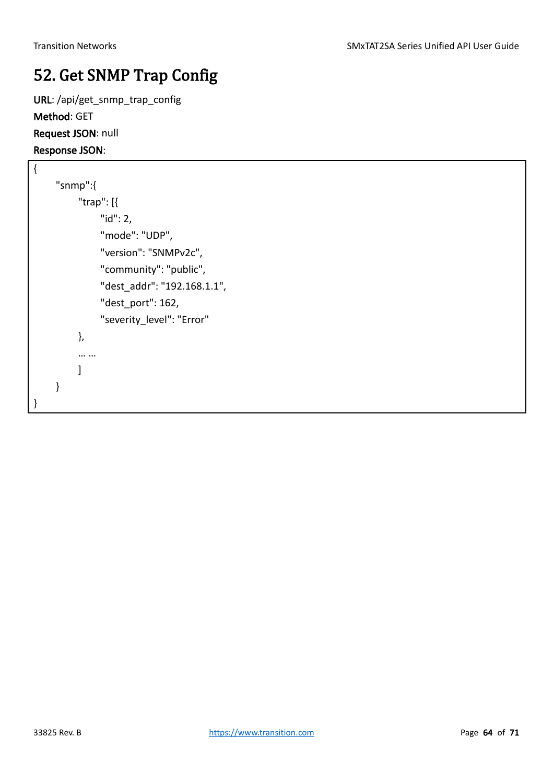## <span id="page-63-0"></span>52. Get SNMP Trap Config

URL: /api/get\_snmp\_trap\_config Method: GET Request JSON: null Response JSON:

```
{
     "snmp":{
           "trap": [{
                "id": 2,
                "mode": "UDP",
                "version": "SNMPv2c",
                "community": "public",
                "dest_addr": "192.168.1.1",
                "dest_port": 162,
                "severity_level": "Error"
           },
           … …
           ]
     }
}
```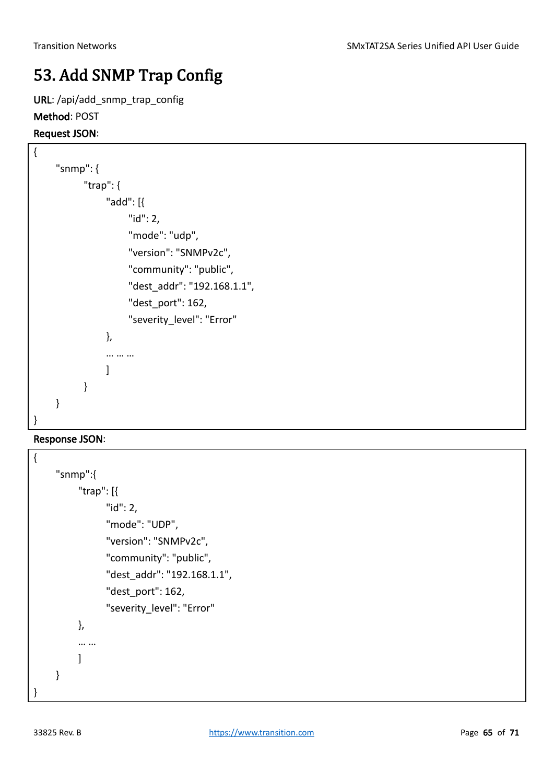## <span id="page-64-0"></span>53. Add SNMP Trap Config

URL: /api/add\_snmp\_trap\_config

#### Method: POST

Request JSON:

```
{
     "snmp": {
            "trap": {
                 "add": [{
                      "id": 2,
                      "mode": "udp",
                      "version": "SNMPv2c",
                      "community": "public",
                      "dest_addr": "192.168.1.1",
                      "dest_port": 162,
                      "severity_level": "Error"
                 },
                 … … …
      ]
            }
     }
}
```
#### Response JSON:

```
{
     "snmp":{
           "trap": [{
                  "id": 2,
                  "mode": "UDP",
                  "version": "SNMPv2c",
                  "community": "public",
                  "dest_addr": "192.168.1.1",
                  "dest_port": 162,
                  "severity_level": "Error"
           },
           … …
           ]
     }
}
```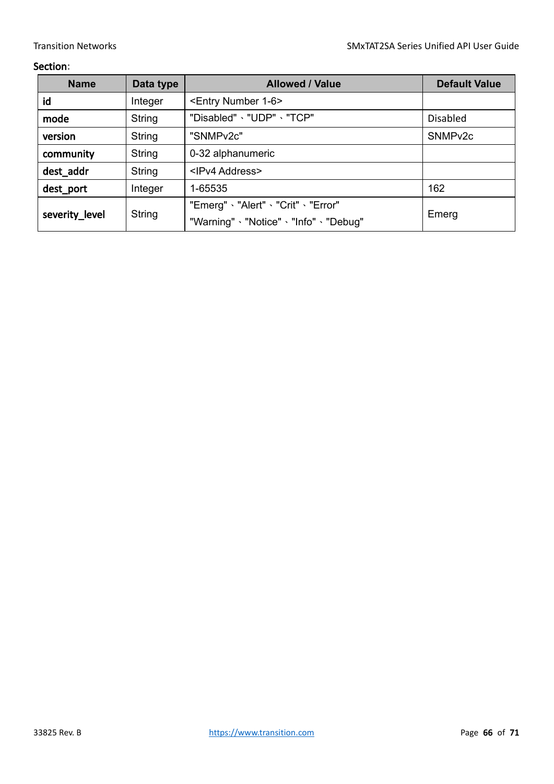| <b>Name</b>    | Data type | <b>Allowed / Value</b>                                                    | <b>Default Value</b> |
|----------------|-----------|---------------------------------------------------------------------------|----------------------|
| id             | Integer   | <entry 1-6="" number=""></entry>                                          |                      |
| mode           | String    | "Disabled" \ "UDP" \ "TCP"<br><b>Disabled</b>                             |                      |
| version        | String    | "SNMPv2c"<br>SNMP <sub>v2c</sub>                                          |                      |
| community      | String    | 0-32 alphanumeric                                                         |                      |
| dest_addr      | String    | <ipv4 address=""></ipv4>                                                  |                      |
| dest_port      | Integer   | 162<br>1-65535                                                            |                      |
| severity_level | String    | "Emerg" 、"Alert" 、"Crit" 、"Error"<br>"Warning" 、"Notice" 、"Info" 、"Debug" | Emerg                |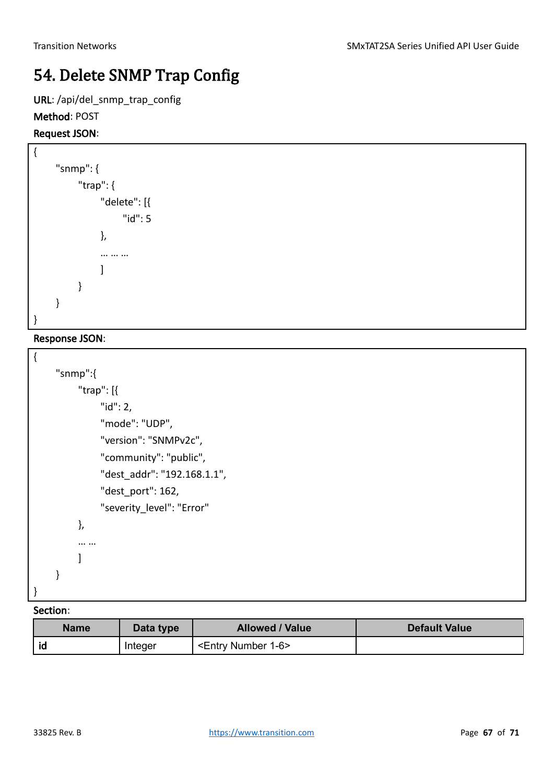### <span id="page-66-0"></span>54. Delete SNMP Trap Config

URL: /api/del\_snmp\_trap\_config

#### Method: POST

#### Request JSON:

```
{
     "snmp": {
            "trap": {
                  "delete": [{
                        "id": 5
                  },
                  … … …
                  ]
            }
     }
}
```
#### Response JSON:

 $\sqrt{ }$ 

| ۱                                             |
|-----------------------------------------------|
| "snmp":{                                      |
| "trap": $\left\lceil \left\{ \right. \right.$ |
| " $id$ ": 2,                                  |
| "mode": "UDP",                                |
| "version": "SNMPv2c",                         |
| "community": "public",                        |
| "dest addr": "192.168.1.1",                   |
| "dest port": 162,                             |
| "severity level": "Error"                     |
| },                                            |
|                                               |
|                                               |
|                                               |
| ł                                             |
|                                               |

| <b>Name</b> | Data type | <b>Allowed / Value</b>           | <b>Default Value</b> |
|-------------|-----------|----------------------------------|----------------------|
| id          | Integer   | <entry 1-6="" number=""></entry> |                      |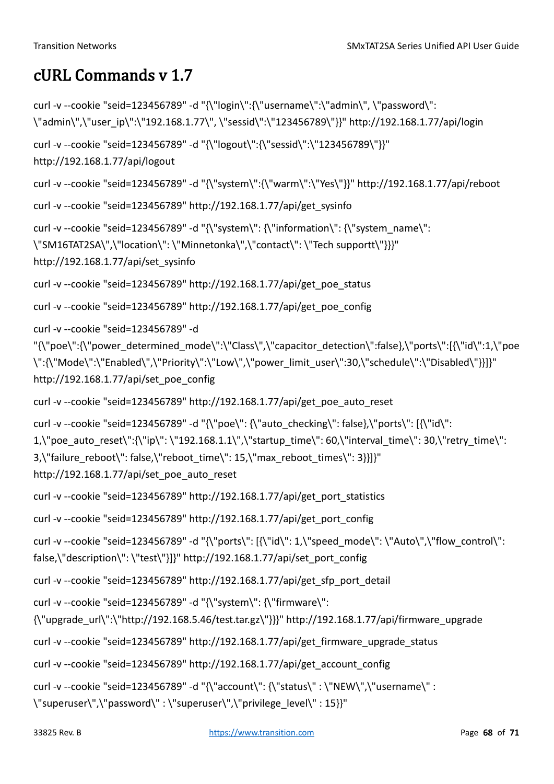### <span id="page-67-0"></span>cURL Commands v 1.7

```
curl -v --cookie "seid=123456789" -d "{\"login\":{\"username\":\"admin\", \"password\": 
\"admin\",\"user_ip\":\"192.168.1.77\", \"sessid\":\"123456789\"}}" http://192.168.1.77/api/login
curl -v --cookie "seid=123456789" -d "{\"logout\":{\"sessid\":\"123456789\"}}" 
http://192.168.1.77/api/logout
curl -v --cookie "seid=123456789" -d "{\"system\":{\"warm\":\"Yes\"}}" http://192.168.1.77/api/reboot
curl -v --cookie "seid=123456789" http://192.168.1.77/api/get_sysinfo
curl -v --cookie "seid=123456789" -d "{\"system\": {\"information\": {\"system_name\": 
\"SM16TAT2SA\",\"location\": \"Minnetonka\",\"contact\": \"Tech supportt\"}}}" 
http://192.168.1.77/api/set_sysinfo
curl -v --cookie "seid=123456789" http://192.168.1.77/api/get_poe_status
curl -v --cookie "seid=123456789" http://192.168.1.77/api/get_poe_config
curl -v --cookie "seid=123456789" -d 
"{\"poe\":{\"power_determined_mode\":\"Class\",\"capacitor_detection\":false},\"ports\":[{\"id\":1,\"poe
\":{\"Mode\":\"Enabled\",\"Priority\":\"Low\",\"power_limit_user\":30,\"schedule\":\"Disabled\"}}]}" 
http://192.168.1.77/api/set_poe_config
curl -v --cookie "seid=123456789" http://192.168.1.77/api/get_poe_auto_reset
curl -v --cookie "seid=123456789" -d "{\"poe\": {\"auto_checking\": false},\"ports\": [{\"id\":
1,\"poe_auto_reset\":{\"ip\": \"192.168.1.1\",\"startup_time\": 60,\"interval_time\": 30,\"retry_time\":
3,\"failure_reboot\": false,\"reboot_time\": 15,\"max_reboot_times\": 3}}]}"
http://192.168.1.77/api/set_poe_auto_reset
curl -v --cookie "seid=123456789" http://192.168.1.77/api/get_port_statistics
curl -v --cookie "seid=123456789" http://192.168.1.77/api/get_port_config
curl -v --cookie "seid=123456789" -d "{\"ports\": [{\"id\": 1,\"speed_mode\": \"Auto\",\"flow_control\":
false,\"description\": \"test\"}]}" http://192.168.1.77/api/set_port_config
curl -v --cookie "seid=123456789" http://192.168.1.77/api/get_sfp_port_detail
curl -v --cookie "seid=123456789" -d "{\"system\": {\"firmware\": 
{\langle \langle \rangle}"upgrade_url\":\"http://192.168.5.46/test.tar.gz\"}}}" http://192.168.1.77/api/firmware_upgrade
curl -v --cookie "seid=123456789" http://192.168.1.77/api/get_firmware_upgrade_status
curl -v --cookie "seid=123456789" http://192.168.1.77/api/get_account_config
curl -v --cookie "seid=123456789" -d "{\"account\": {\"status\" : \"NEW\",\"username\" : 
\"superuser\",\"password\" : \"superuser\",\"privilege_level\" : 15}}"
```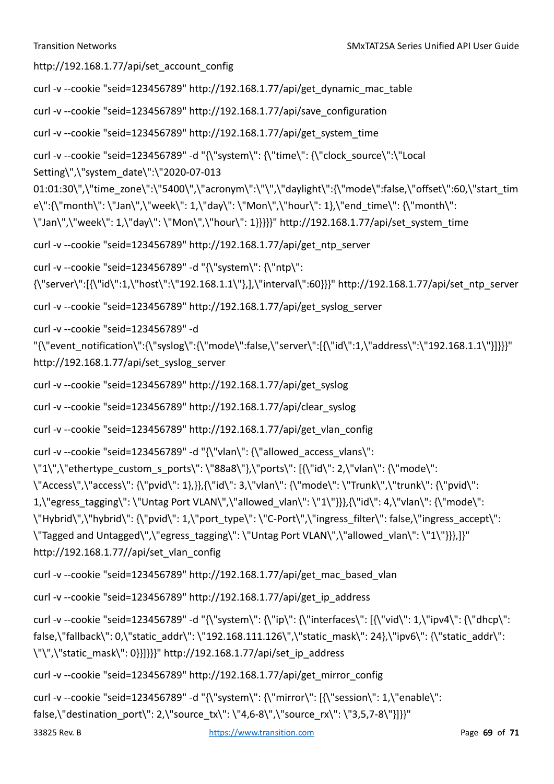http://192.168.1.77/api/set\_account\_config

```
curl -v --cookie "seid=123456789" http://192.168.1.77/api/get_dynamic_mac_table
```
curl -v --cookie "seid=123456789" http://192.168.1.77/api/save\_configuration

curl -v --cookie "seid=123456789" http://192.168.1.77/api/get\_system\_time

curl -v --cookie "seid=123456789" -d "{\"system\": {\"time\": {\"clock\_source\":\"Local

Setting\",\"system\_date\":\"2020-07-013

01:01:30\",\"time\_zone\":\"5400\",\"acronym\":\"\",\"daylight\":{\"mode\":false,\"offset\":60,\"start\_tim e\":{\"month\": \"Jan\",\"week\": 1,\"day\": \"Mon\",\"hour\": 1},\"end\_time\": {\"month\":

\"Jan\",\"week\": 1,\"day\": \"Mon\",\"hour\": 1}}}}}" http://192.168.1.77/api/set\_system\_time

curl -v --cookie "seid=123456789" http://192.168.1.77/api/get\_ntp\_server

curl -v --cookie "seid=123456789" -d "{\"system\": {\"ntp\":

{\"server\":[{\"id\":1,\"host\":\"192.168.1.1\"},],\"interval\":60}}}" http://192.168.1.77/api/set\_ntp\_server

curl -v --cookie "seid=123456789" http://192.168.1.77/api/get\_syslog\_server

curl -v --cookie "seid=123456789" -d

"{\"event\_notification\":{\"syslog\":{\"mode\":false,\"server\":[{\"id\":1,\"address\":\"192.168.1.1\"}]}}" http://192.168.1.77/api/set\_syslog\_server

curl -v --cookie "seid=123456789" http://192.168.1.77/api/get\_syslog

curl -v --cookie "seid=123456789" http://192.168.1.77/api/clear\_syslog

curl -v --cookie "seid=123456789" http://192.168.1.77/api/get\_vlan\_config

curl -v --cookie "seid=123456789" -d "{\"vlan\": {\"allowed access vlans\":

\"1\",\"ethertype\_custom\_s\_ports\": \"88a8\"},\"ports\": [{\"id\": 2,\"vlan\": {\"mode\":

\"Access\",\"access\": {\"pvid\": 1},}},{\"id\": 3,\"vlan\": {\"mode\": \"Trunk\",\"trunk\": {\"pvid\":

1,\"egress\_tagging\": \"Untag Port VLAN\",\"allowed\_vlan\": \"1\"}}},{\"id\": 4,\"vlan\": {\"mode\":

\"Hybrid\",\"hybrid\": {\"pvid\": 1,\"port\_type\": \"C-Port\",\"ingress\_filter\": false,\"ingress\_accept\":

\"Tagged and Untagged\",\"egress\_tagging\": \"Untag Port VLAN\",\"allowed\_vlan\": \"1\"}}},]}"

```
http://192.168.1.77//api/set_vlan_config
```

```
curl -v --cookie "seid=123456789" http://192.168.1.77/api/get_mac_based_vlan
```

```
curl -v --cookie "seid=123456789" http://192.168.1.77/api/get_ip_address
```
curl -v --cookie "seid=123456789" -d "{\"system\": {\"ip\": {\"interfaces\": [{\"vid\": 1,\"ipv4\": {\"dhcp\": false,\"fallback\": 0,\"static\_addr\": \"192.168.111.126\",\"static\_mask\": 24},\"ipv6\": {\"static\_addr\": \"\",\"static\_mask\": 0}}]}}}" http://192.168.1.77/api/set\_ip\_address

```
curl -v --cookie "seid=123456789" http://192.168.1.77/api/get_mirror_config
```

```
curl -v --cookie "seid=123456789" -d "{\"system\": {\"mirror\": [{\"session\": 1,\"enable\":
```

```
false,\"destination_port\": 2,\"source_tx\": \"4,6-8\",\"source_rx\": \"3,5,7-8\"}]}}"
```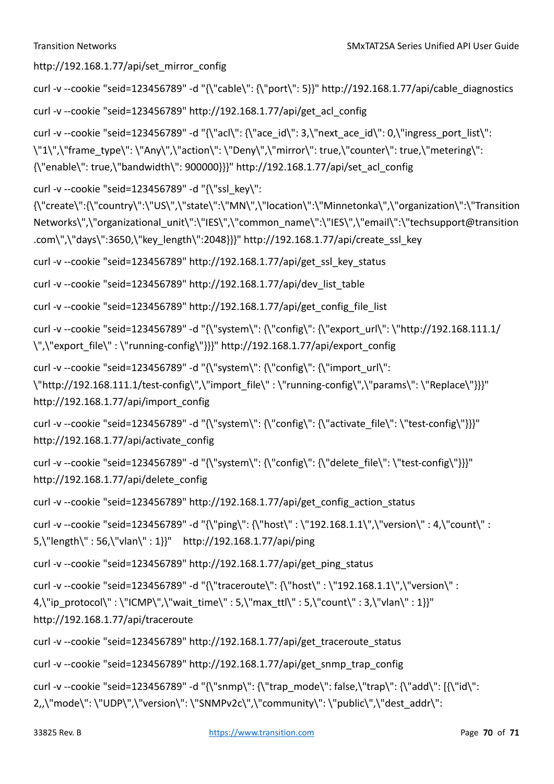http://192.168.1.77/api/set\_mirror\_config

```
curl -v --cookie "seid=123456789" -d "{\"cable\": {\"port\": 5}}" http://192.168.1.77/api/cable_diagnostics
```
curl -v --cookie "seid=123456789" http://192.168.1.77/api/get\_acl\_config

curl -v --cookie "seid=123456789" -d "{\"acl\": {\"ace\_id\": 3,\"next\_ace\_id\": 0,\"ingress\_port\_list\": \"1\",\"frame\_type\": \"Any\",\"action\": \"Deny\",\"mirror\": true,\"counter\": true,\"metering\": {\"enable\": true,\"bandwidth\": 900000}}}" http://192.168.1.77/api/set\_acl\_config

curl -v --cookie "seid=123456789" -d "{\"ssl\_key\":

{\"create\":{\"country\":\"US\",\"state\":\"MN\",\"location\":\"Minnetonka\",\"organization\":\"Transition Networks\",\"organizational\_unit\":\"IES\",\"common\_name\":\"IES\",\"email\":\"techsupport@transition .com\",\"days\":3650,\"key\_length\":2048}}}" http://192.168.1.77/api/create\_ssl\_key

curl -v --cookie "seid=123456789" http://192.168.1.77/api/get\_ssl\_key\_status

curl -v --cookie "seid=123456789" http://192.168.1.77/api/dev\_list\_table

curl -v --cookie "seid=123456789" http://192.168.1.77/api/get\_config\_file\_list

curl -v --cookie "seid=123456789" -d "{\"system\": {\"config\": {\"export\_url\": \"http://192.168.111.1/ \",\"export\_file\" : \"running-config\"}}}" http://192.168.1.77/api/export\_config

curl -v --cookie "seid=123456789" -d "{\"system\": {\"config\": {\"import\_url\": \"http://192.168.111.1/test-config\",\"import\_file\" : \"running-config\",\"params\": \"Replace\"}}}" http://192.168.1.77/api/import\_config

```
curl -v --cookie "seid=123456789" -d "{\"system\": {\"config\": {\"activate_file\": \"test-config\"}}}" 
http://192.168.1.77/api/activate_config
```

```
curl -v --cookie "seid=123456789" -d "{\"system\": {\"config\": {\"delete_file\": \"test-config\"}}"
http://192.168.1.77/api/delete_config
```

```
curl -v --cookie "seid=123456789" http://192.168.1.77/api/get_config_action_status
```

```
curl -v --cookie "seid=123456789" -d "{\"ping\": {\"host\" : \"192.168.1.1\",\"version\" : 4,\"count\" : 
5,\"length\" : 56,\"vlan\" : 1}}" http://192.168.1.77/api/ping
```

```
curl -v --cookie "seid=123456789" http://192.168.1.77/api/get_ping_status
```

```
curl -v --cookie "seid=123456789" -d "{\"traceroute\": {\"host\" : \"192.168.1.1\",\"version\" : 
4,\"ip_protocol\" : \"ICMP\",\"wait_time\" : 5,\"max_ttl\" : 5,\"count\" : 3,\"vlan\" : 1}}"
http://192.168.1.77/api/traceroute
```

```
curl -v --cookie "seid=123456789" http://192.168.1.77/api/get_traceroute_status
```

```
curl -v --cookie "seid=123456789" http://192.168.1.77/api/get_snmp_trap_config
```

```
curl -v --cookie "seid=123456789" -d "{\"snmp\": {\"trap_mode\": false,\"trap\": {\"add\": [{\"id\":
2,,\"mode\":\"UDP\",\"version\":\"SNMPv2c\",\"community\":\"public\",\"dest_addr\":
```